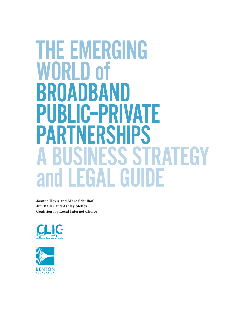# **THE EMERGING** WORLD of BROADBAND Public–Private **PARTNERSHIPS** S STRATEGY<br>GUIDE and

**Joanne Hovis and Marc Schulhof Jim Baller and Ashley Stelfox Coalition for Local Internet Choice**



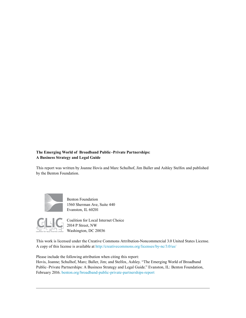#### **The Emerging World of Broadband Public–Private Partnerships: A Business Strategy and Legal Guide**

This report was written by Joanne Hovis and Marc Schulhof, Jim Baller and Ashley Stelfox and published by the Benton Foundation.



Benton Foundation 1560 Sherman Ave, Suite 440 Evanston, IL 60201



Coalition for Local Internet Choice 2014 P Street, NW Washington, DC 20036

This work is licensed under the Creative Commons Attribution-Noncommercial 3.0 United States License. A copy of this license is available at <http://creativecommons.org/licenses/by-nc/3.0/us/>

Please include the following attribution when citing this report: Hovis, Joanne; Schulhof, Marc; Baller, Jim; and Stelfox, Ashley. "The Emerging World of Broadband Public–Private Partnerships: A Business Strategy and Legal Guide." Evanston, IL: Benton Foundation, February 2016. [benton.org/broadband-public-private-partnerships-report](http://benton.org/broadband-public-private-partnerships-report)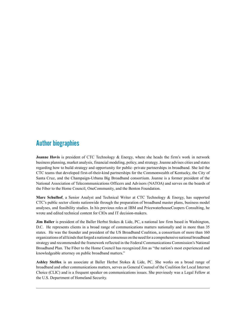# Author biographies

**Joanne Hovis** is president of CTC Technology & Energy, where she heads the firm's work in network business planning, market analysis, financial modeling, policy, and strategy. Joanne advises cities and states regarding how to build strategy and opportunity for public–private partnerships in broadband. She led the CTC teams that developed first-of-their-kind partnerships for the Commonwealth of Kentucky, the City of Santa Cruz, and the Champaign-Urbana Big Broadband consortium. Joanne is a former president of the National Association of Telecommunications Officers and Advisors (NATOA) and serves on the boards of the Fiber to the Home Council, OneCommunity, and the Benton Foundation.

**Marc Schulhof**, a Senior Analyst and Technical Writer at CTC Technology & Energy, has supported CTC's public sector clients nationwide through the preparation of broadband master plans, business model analyses, and feasibility studies. In his previous roles at IBM and PricewaterhouseCoopers Consulting, he wrote and edited technical content for CIOs and IT decision-makers.

**Jim Baller** is president of the Baller Herbst Stokes & Lide, PC, a national law firm based in Washington, D.C. He represents clients in a broad range of communications matters nationally and in more than 35 states. He was the founder and president of the US Broadband Coalition, a consortium of more than 160 organizations of all kinds that forged a national consensus on the need for a comprehensive national broadband strategy and recommended the framework reflected in the Federal Communications Commission's National Broadband Plan. The Fiber to the Home Council has recognized Jim as "the nation's most experienced and knowledgeable attorney on public broadband matters."

**Ashley Stelfox** is an associate at Baller Herbst Stokes & Lide, PC. She works on a broad range of broadband and other communications matters, serves as General Counsel of the Coalition for Local Internet Choice (CLIC) and is a frequent speaker on communications issues. She previously was a Legal Fellow at the U.S. Department of Homeland Security.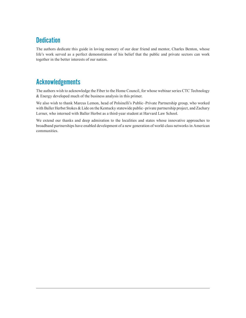# **Dedication**

The authors dedicate this guide in loving memory of our dear friend and mentor, Charles Benton, whose life's work served as a perfect demonstration of his belief that the public and private sectors can work together in the better interests of our nation.

# Acknowledgements

The authors wish to acknowledge the Fiber to the Home Council, for whose webinar series CTC Technology & Energy developed much of the business analysis in this primer.

We also wish to thank Marcus Lemon, head of Polsinelli's Public–Private Partnership group, who worked with Baller Herbst Stokes & Lide on the Kentucky statewide public–private partnership project, and Zachary Lerner, who interned with Baller Herbst as a third-year student at Harvard Law School.

We extend our thanks and deep admiration to the localities and states whose innovative approaches to broadband partnerships have enabled development of a new generation of world-class networks in American communities.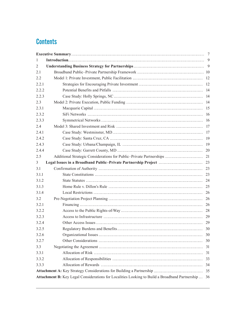# **Contents**

| $\mathbf{1}$ |                                                                                                |    |  |  |  |  |
|--------------|------------------------------------------------------------------------------------------------|----|--|--|--|--|
| 2            |                                                                                                |    |  |  |  |  |
| 2.1          |                                                                                                |    |  |  |  |  |
| 2.2          |                                                                                                |    |  |  |  |  |
| 2.2.1        |                                                                                                |    |  |  |  |  |
| 2.2.2        |                                                                                                |    |  |  |  |  |
| 2.2.3        |                                                                                                |    |  |  |  |  |
| 2.3          |                                                                                                |    |  |  |  |  |
| 2.3.1        |                                                                                                |    |  |  |  |  |
| 2.3.2        |                                                                                                |    |  |  |  |  |
| 2.3.3        |                                                                                                |    |  |  |  |  |
| 2.4          |                                                                                                |    |  |  |  |  |
| 2.4.1        |                                                                                                |    |  |  |  |  |
| 2.4.2        |                                                                                                |    |  |  |  |  |
| 2.4.3        |                                                                                                |    |  |  |  |  |
| 2.4.4        |                                                                                                |    |  |  |  |  |
| 2.5          |                                                                                                |    |  |  |  |  |
| 3            |                                                                                                |    |  |  |  |  |
| 3.1          |                                                                                                |    |  |  |  |  |
| 3.1.1        |                                                                                                |    |  |  |  |  |
| 3.1.2        |                                                                                                |    |  |  |  |  |
| 3.1.3        |                                                                                                |    |  |  |  |  |
| 3.1.4        |                                                                                                |    |  |  |  |  |
| 3.2          |                                                                                                |    |  |  |  |  |
| 3.2.1        |                                                                                                |    |  |  |  |  |
| 3.2.2        |                                                                                                |    |  |  |  |  |
| 3.2.3        |                                                                                                |    |  |  |  |  |
| 3.2.4        |                                                                                                | 29 |  |  |  |  |
| 3.2.5        |                                                                                                |    |  |  |  |  |
| 3.2.6        |                                                                                                | 30 |  |  |  |  |
| 3.2.7        |                                                                                                | 30 |  |  |  |  |
| 3.3          |                                                                                                | 31 |  |  |  |  |
| 3.3.1        |                                                                                                | 31 |  |  |  |  |
| 3.3.2        |                                                                                                | 33 |  |  |  |  |
| 3.3.3        |                                                                                                | 34 |  |  |  |  |
|              |                                                                                                | 35 |  |  |  |  |
|              | Attachment B: Key Legal Considerations for Localities Looking to Build a Broadband Partnership | 36 |  |  |  |  |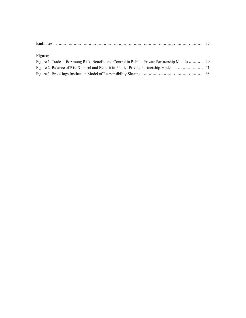| <b>Endnotes</b> |  |
|-----------------|--|
|                 |  |

## **Figures**

| Figure 1: Trade-offs Among Risk, Benefit, and Control in Public–Private Partnership Models  10 |  |
|------------------------------------------------------------------------------------------------|--|
|                                                                                                |  |
|                                                                                                |  |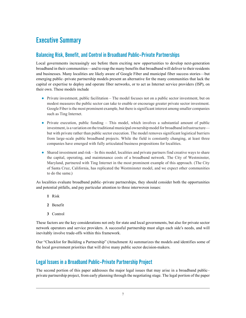# Executive Summary

# Balancing Risk, Benefit, and Control in Broadband Public–Private Partnerships

Local governments increasingly see before them exciting new opportunities to develop next-generation broadband in their communities—and to reap the many benefits that broadband will deliver to their residents and businesses. Many localities are likely aware of Google Fiber and municipal fiber success stories—but emerging public–private partnership models present an alternative for the many communities that lack the capital or expertise to deploy and operate fiber networks, or to act as Internet service providers (ISP), on their own. These models include

- **●** Private investment, public facilitation The model focuses not on a public sector investment, but on modest measures the public sector can take to enable or encourage greater private sector investment. Google Fiber is the most prominent example, but there is significant interest among smaller companies such as Ting Internet.
- **●** Private execution, public funding This model, which involves a substantial amount of public investment, is a variation on the traditional municipal ownership model for broadband infrastructure but with private rather than public sector execution. The model removes significant logistical barriers from large-scale public broadband projects. While the field is constantly changing, at least three companies have emerged with fully articulated business propositions for localities.
- Shared investment and risk In this model, localities and private partners find creative ways to share the capital, operating, and maintenance costs of a broadband network. The City of Westminster, Maryland, partnered with Ting Internet in the most prominent example of this approach. (The City of Santa Cruz, California, has replicated the Westminster model, and we expect other communities to do the same.)

As localities evaluate broadband public–private partnerships, they should consider both the opportunities and potential pitfalls, and pay particular attention to three interwoven issues:

- **1** Risk
- **2** Benefit
- **3** Control

These factors are the key considerations not only for state and local governments, but also for private sector network operators and service providers. A successful partnership must align each side's needs, and will inevitably involve trade-offs within this framework.

Our "Checklist for Building a Partnership" (Attachment A) summarizes the models and identifies some of the local government priorities that will drive many public sector decision-makers.

# Legal Issues in a Broadband Public–Private Partnership Project

The second portion of this paper addresses the major legal issues that may arise in a broadband public– private partnership project, from early planning through the negotiating stage. The legal portion of the paper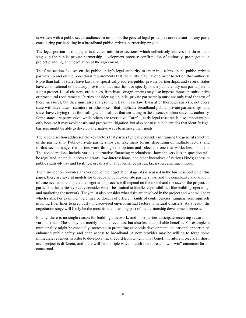is written with a public sector audience in mind, but the general legal principles are relevant for any party considering participating in a broadband public–private partnership project.

The legal portion of this paper is divided into three sections, which collectively address the three main stages in the public–private partnership development process: confirmation of authority, pre-negotiation project planning, and negotiation of the agreement.

The first section focuses on the public entity's legal authority to enter into a broadband public–private partnership and on the procedural requirements that the entity may have to meet to act on that authority. More than half of states have laws that specifically address public–private partnerships, and several states have constitutional or statutory provisions that may limit or specify how a public entity can participate in such a project. Local charters, ordinances, franchises, or agreements may also impose important substantive or procedural requirements. Parties considering a public–private partnership must not only read the text of these measures, but they must also analyze the relevant case law. Even after thorough analysis, not every state will have laws—statutory or otherwise—that implicate broadband public–private partnerships, and states have varying rules for dealing with localities that are acting in the absence of clear state law authority. Some states are permissive, while others are restrictive. Careful, early legal research is also important not only because it may avoid costly and protracted litigation, but also because public entities that identify legal barriers might be able to develop alternative ways to achieve their goals.

The second section addresses the key factors that parties typically consider in framing the general structure of the partnership. Public–private partnerships can take many forms, depending on multiple factors, and in this second stage, the parties work through the options and select the one that works best for them. The considerations include various alternative financing mechanisms; how the services in question will be regulated; potential access to grants, low-interest loans, and other incentives of various kinds; access to public rights-of-way and facilities; organizational/governance issues; tax issues; and much more.

The third section provides an overview of the negotiation stage. As discussed in the business portion of this paper, there are several models for broadband public–private partnerships, and the complexity and amount of time needed to complete the negotiation process will depend on the model and the size of the project. In particular, the parties typically consider who is best suited to handle responsibilities like building, operating, and marketing the network. They must also consider what risks are involved in the project and who will bear which risks. For example, there may be dozens of different kinds of contingencies, ranging from squirrels nibbling fiber lines to previously undiscovered environmental factors to natural disasters. As a result, the negotiation stage will likely be the most time-consuming part of the partnership development process.

Finally, there is no single reason for building a network, and most parties anticipate receiving rewards of various kinds. These may not merely include revenues, but also less quantifiable benefits. For example, a municipality might be especially interested in promoting economic development, educational opportunity, enhanced public safety, and open access to broadband. A new provider may be willing to forgo some immediate revenues in order to develop a track record from which it may benefit in future projects. In short, each project is different, and there will be multiple ways in each one to reach "win-win" outcomes for all concerned.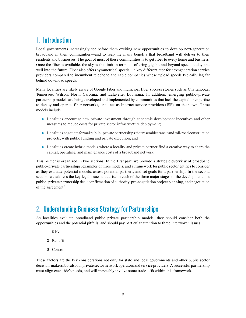# 1. Introduction

Local governments increasingly see before them exciting new opportunities to develop next-generation broadband in their communities—and to reap the many benefits that broadband will deliver to their residents and businesses. The goal of most of these communities is to get fiber to every home and business. Once the fiber is available, the sky is the limit in terms of offering gigabit-and-beyond speeds today and well into the future. Fiber also offers symmetrical speeds—a key differentiator for next-generation service providers compared to incumbent telephone and cable companies whose upload speeds typically lag far behind download speeds.

Many localities are likely aware of Google Fiber and municipal fiber success stories such as Chattanooga, Tennessee; Wilson, North Carolina; and Lafayette, Louisiana. In addition, emerging public–private partnership models are being developed and implemented by communities that lack the capital or expertise to deploy and operate fiber networks, or to act as Internet service providers (ISP), on their own. These models include:

- **●** Localities encourage new private investment through economic development incentives and other measures to reduce costs for private sector infrastructure deployment;
- **●** Localities negotiate formal public–private partnerships that resemble transit and toll-road construction projects, with public funding and private execution; and
- **●** Localities create hybrid models where a locality and private partner find a creative way to share the capital, operating, and maintenance costs of a broadband network.

This primer is organized in two sections. In the first part, we provide a strategic overview of broadband public–private partnerships, examples of three models, and a framework for public sector entities to consider as they evaluate potential models, assess potential partners, and set goals for a partnership. In the second section, we address the key legal issues that arise in each of the three major stages of the development of a public–private partnership deal: confirmation of authority, pre-negotiation project planning, and negotiation of the agreement.<sup>1</sup>

# 2. Understanding Business Strategy for Partnerships

As localities evaluate broadband public–private partnership models, they should consider both the opportunities and the potential pitfalls, and should pay particular attention to three interwoven issues:

- **1** Risk
- **2** Benefit
- **3** Control

These factors are the key considerations not only for state and local governments and other public sector decision-makers, but also for private sector network operators and service providers. A successful partnership must align each side's needs, and will inevitably involve some trade-offs within this framework.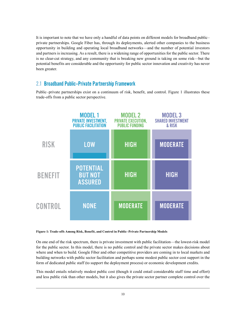It is important to note that we have only a handful of data points on different models for broadband public– private partnerships. Google Fiber has, through its deployments, alerted other companies to the business opportunity in building and operating local broadband networks—and the number of potential investors and partners is increasing. As a result, there is a widening range of opportunities for the public sector. There is no clear-cut strategy, and any community that is breaking new ground is taking on some risk—but the potential benefits are considerable and the opportunity for public sector innovation and creativity has never been greater.

# 2.1 Broadband Public–Private Partnership Framework

Public–private partnerships exist on a continuum of risk, benefit, and control. Figure 1 illustrates these trade-offs from a public sector perspective.



**Figure 1: Trade-offs Among Risk, Benefit, and Control in Public–Private Partnership Models**

On one end of the risk spectrum, there is private investment with public facilitation—the lowest-risk model for the public sector. In this model, there is no public control and the private sector makes decisions about where and when to build. Google Fiber and other competitive providers are coming in to local markets and building networks with public sector facilitation and perhaps some modest public sector cost support in the form of dedicated public staff (to support the deployment process) or economic development credits.

This model entails relatively modest public cost (though it could entail considerable staff time and effort) and less public risk than other models, but it also gives the private sector partner complete control over the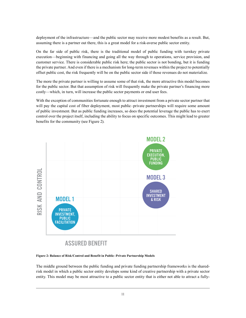deployment of the infrastructure—and the public sector may receive more modest benefits as a result. But, assuming there is a partner out there, this is a great model for a risk-averse public sector entity.

On the far side of public risk, there is the traditional model of public funding with turnkey private execution—beginning with financing and going all the way through to operations, service provision, and customer service. There is considerable public risk here; the public sector is not bonding, but it is funding the private partner. And even if there is a mechanism for long-term revenues within the project to potentially offset public cost, the risk frequently will be on the public sector side if those revenues do not materialize.

The more the private partner is willing to assume some of that risk, the more attractive this model becomes for the public sector. But that assumption of risk will frequently make the private partner's financing more costly—which, in turn, will increase the public sector payments or end user fees.

With the exception of communities fortunate enough to attract investment from a private sector partner that will pay the capital cost of fiber deployment, most public–private partnerships will require some amount of public investment. But as public funding increases, so does the potential leverage the public has to exert control over the project itself, including the ability to focus on specific outcomes. This might lead to greater benefits for the community (see Figure 2).



**Figure 2: Balance of Risk/Control and Benefit in Public–Private Partnership Models**

The middle ground between the public funding and private funding partnership frameworks is the sharedrisk model in which a public sector entity develops some kind of creative partnership with a private sector entity. This model may be most attractive to a public sector entity that is either not able to attract a fully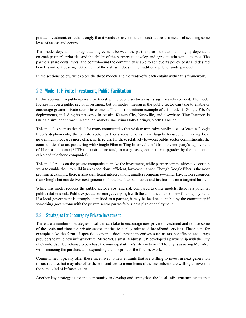private investment, or feels strongly that it wants to invest in the infrastructure as a means of securing some level of access and control.

This model depends on a negotiated agreement between the partners, so the outcome is highly dependent on each partner's priorities and the ability of the partners to develop and agree to win-win outcomes. The partners share costs, risks, and control—and the community is able to achieve its policy goals and desired benefits without bearing 100 percent of the risk as it does in the traditional public funding model.

In the sections below, we explore the three models and the trade-offs each entails within this framework.

# <span id="page-11-0"></span>2.2 Model 1: Private Investment, Public Facilitation

In this approach to public–private partnership, the public sector's cost is significantly reduced. The model focuses not on a public sector investment, but on modest measures the public sector can take to enable or encourage greater private sector investment. The most prominent example of this model is Google Fiber's deployments, including its networks in Austin, Kansas City, Nashville, and elsewhere. Ting Internet<sup>2</sup> is taking a similar approach in smaller markets, including Holly Springs, North Carolina.

This model is seen as the ideal for many communities that wish to minimize public cost. At least in Google Fiber's deployments, the private sector partner's requirements have largely focused on making local government processes more efficient. In return for these relatively low-cost public sector commitments, the communities that are partnering with Google Fiber or Ting Internet benefit from the company's deployment of fiber-to-the-home (FTTH) infrastructure (and, in many cases, competitive upgrades by the incumbent cable and telephone companies).

This model relies on the private companies to make the investment, while partner communities take certain steps to enable them to build in an expeditious, efficient, low-cost manner. Though Google Fiber is the most prominent example, there is also significant interest among smaller companies—which have fewer resources than Google but can deliver next-generation broadband to businesses and institutions on a targeted basis.

While this model reduces the public sector's cost and risk compared to other models, there is a potential public relations risk. Public expectations can get very high with the announcement of new fiber deployment. If a local government is strongly identified as a partner, it may be held accountable by the community if something goes wrong with the private sector partner's business plan or deployment.

## 2.2.1 Strategies for Encouraging Private Investment

There are a number of strategies localities can take to encourage new private investment and reduce some of the costs and time for private sector entities to deploy advanced broadband services. These can, for example, take the form of specific economic development incentives such as tax benefits to encourage providers to build new infrastructure. MetroNet, a small Midwest ISP, developed a partnership with the City of Crawfordsville, Indiana, to purchase the municipal utility's fiber network.<sup>3</sup> The city is assisting MetroNet with financing the purchase and expanding the footprint of the fiber network.

Communities typically offer these incentives to new entrants that are willing to invest in next-generation infrastructure, but may also offer these incentives to incumbents if the incumbents are willing to invest in the same kind of infrastructure.

Another key strategy is for the community to develop and strengthen the local infrastructure assets that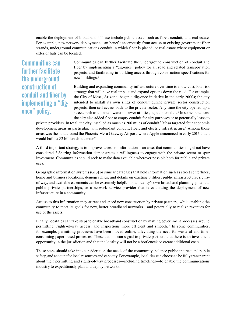enable the deployment of broadband.<sup>4</sup> These include public assets such as fiber, conduit, and real estate. For example, new network deployments can benefit enormously from access to existing government fiber strands, underground communications conduit in which fiber is placed, or real estate where equipment or exterior huts can be located.

Communities can further facilitate the underground construction of conduit and fiber by implementing a "digonce" policy.

Communities can further facilitate the underground construction of conduit and fiber by implementing a "dig-once" policy for all road and related transportation projects, and facilitating in-building access through construction specifications for new buildings.<sup>5</sup>

Building and expanding community infrastructure over time is a low-cost, low-risk strategy that will have real impact and expand options down the road. For example, the City of Mesa, Arizona, began a dig-once initiative in the early 2000s; the city intended to install its own rings of conduit during private sector construction projects, then sell access back to the private sector. Any time the city opened up a street, such as to install water or sewer utilities, it put in conduit.<sup>6</sup> In some instances, the city also added fiber to empty conduit for city purposes or to potentially lease to

private providers. In total, the city installed as much as 200 miles of conduit.7 Mesa targeted four economic development areas in particular, with redundant conduit, fiber, and electric infrastructure.<sup>8</sup> Among those areas was the land around the Phoenix-Mesa Gateway Airport, where Apple announced in early 2015 that it would build a \$2 billion data center.<sup>9</sup>

A third important strategy is to improve access to information—an asset that communities might not have considered.10 Sharing information demonstrates a willingness to engage with the private sector to spur investment. Communities should seek to make data available wherever possible both for public and private uses.

Geographic information systems (GIS) or similar databases that hold information such as street centerlines, home and business locations, demographics, and details on existing utilities, public infrastructure, rightsof-way, and available easements can be extremely helpful for a locality's own broadband planning, potential public–private partnerships, or a network service provider that is evaluating the deployment of new infrastructure in a community.

Access to this information may attract and speed new construction by private partners, while enabling the community to meet its goals for new, better broadband networks—and potentially to realize revenues for use of the assets.

Finally, localities can take steps to enable broadband construction by making government processes around permitting, rights-of-way access, and inspections more efficient and smooth.11 In some communities, for example, permitting processes have been moved online, alleviating the need for wasteful and timeconsuming paper-based processes. These actions can signal to private partners that there is an investment opportunity in the jurisdiction and that the locality will not be a bottleneck or create additional costs.

These steps should take into consideration the needs of the community, balance public interest and public safety, and account for local resources and capacity. For example, localities can choose to be fully transparent about their permitting and rights-of-way processes—including timelines—to enable the communications industry to expeditiously plan and deploy networks.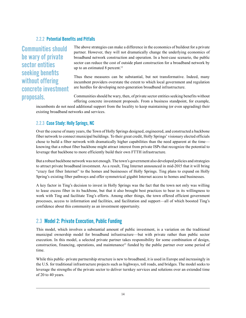## 2.2.2 Potential Benefits and Pitfalls

Communities should be wary of private sector entities seeking benefits without offering concrete investment proposals.

The above strategies can make a difference in the economics of buildout for a private partner. However, they will not dramatically change the underlying economics of broadband network construction and operation. In a best-case scenario, the public sector can reduce the cost of outside plant construction for a broadband network by up to an estimated 8 percent.<sup>12</sup>

Thus these measures can be substantial, but not transformative. Indeed, many incumbent providers overstate the extent to which local government and regulation are hurdles for developing next-generation broadband infrastructure.

Communities should be wary, then, of private sector entities seeking benefits without offering concrete investment proposals. From a business standpoint, for example,

incumbents do not need additional support from the locality to keep maintaining (or even upgrading) their existing broadband networks and services.

# 2.2.3 Case Study: Holly Springs, NC

Over the course of many years, the Town of Holly Springs designed, engineered, and constructed a backbone fiber network to connect municipal buildings. To their great credit, Holly Springs' visionary elected officials chose to build a fiber network with dramatically higher capabilities than the need apparent at the time knowing that a robust fiber backbone might attract interest from private ISPs that recognize the potential to leverage that backbone to more efficiently build their own FTTH infrastructure.

But a robust backbone network was not enough. The town's government also developed policies and strategies to attract private broadband investment. As a result, Ting Internet announced in mid-2015 that it will bring "crazy fast fiber Internet" to the homes and businesses of Holly Springs. Ting plans to expand on Holly Spring's existing fiber pathways and offer symmetrical gigabit Internet access to homes and businesses.

A key factor in Ting's decision to invest in Holly Springs was the fact that the town not only was willing to lease excess fiber in its backbone, but that it also brought best practices to bear in its willingness to work with Ting and facilitate Ting's efforts. Among other things, the town offered efficient government processes, access to information and facilities, and facilitation and support—all of which boosted Ting's confidence about this community as an investment opportunity.

# 2.3 Model 2: Private Execution, Public Funding

This model, which involves a substantial amount of public investment, is a variation on the traditional municipal ownership model for broadband infrastructure—but with private rather than public sector execution. In this model, a selected private partner takes responsibility for some combination of design, construction, financing, operations, and maintenance<sup>13</sup> funded by the public partner over some period of time.

While this public–private partnership structure is new to broadband, it is used in Europe and increasingly in the U.S. for traditional infrastructure projects such as highways, toll roads, and bridges. The model seeks to leverage the strengths of the private sector to deliver turnkey services and solutions over an extended time of 20 to 40 years.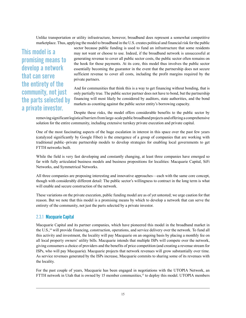Unlike transportation or utility infrastructure, however, broadband does represent a somewhat competitive marketplace. Thus, applying the model to broadband in the U.S. creates political and financial risk for the public

# This model is a promising means to develop a network that can serve the entirety of the community, not just the parts selected by a private investor.

sector because public funding is used to fund an infrastructure that some residents may not want or choose to use. Indeed, if the broadband network is unsuccessful at generating revenue to cover all public sector costs, the public sector often remains on the hook for those payments. At its core, this model thus involves the public sector essentially becoming the guarantor in the event that the partnership does not secure sufficient revenue to cover all costs, including the profit margins required by the private partners.

And for communities that think this is a way to get financing without bonding, that is only partially true. The public sector partner does not have to bond, but the partnership financing will most likely be considered by auditors, state authorities, and the bond markets as counting against the public sector entity's borrowing capacity.

Despite these risks, the model offers considerable benefits to the public sector by removing significant logistical barriers from large-scale public broadband projects and offering a comprehensive solution for the entire community, including extensive turnkey private execution and private capital.

One of the most fascinating aspects of the huge escalation in interest in this space over the past few years (catalyzed significantly by Google Fiber) is the emergence of a group of companies that are working with traditional public–private partnership models to develop strategies for enabling local governments to get FTTH networks built.

While the field is very fast developing and constantly changing, at least three companies have emerged so far with fully articulated business models and business propositions for localities: Macquarie Capital, SiFi Networks, and Symmetrical Networks.

All three companies are proposing interesting and innovative approaches—each with the same core concept, though with considerably different detail: The public sector's willingness to contract in the long term is what will enable and secure construction of the network.

These variations on the private execution, public funding model are as of yet untested; we urge caution for that reason. But we note that this model is a promising means by which to develop a network that can serve the entirety of the community, not just the parts selected by a private investor.

#### 2.3.1 Macquarie Capital

Macquarie Capital and its partner companies, which have pioneered this model in the broadband market in the U.S.,<sup>14</sup> will provide financing, construction, operations, and service delivery over the network. To fund all this activity and investment, the locality will pay Macquarie on an ongoing basis by placing a monthly fee on all local property owners' utility bills. Macquarie intends that multiple ISPs will compete over the network, giving consumers a choice of providers and the benefits of price competition (and creating a revenue stream for ISPs, who will pay Macquarie). Macquarie projects that network revenues will grow substantially over time. As service revenues generated by the ISPs increase, Macquarie commits to sharing some of its revenues with the locality.

For the past couple of years, Macquarie has been engaged in negotiations with the UTOPIA Network, an FTTH network in Utah that is owned by 15 member communities,<sup>15</sup> to deploy this model. UTOPIA members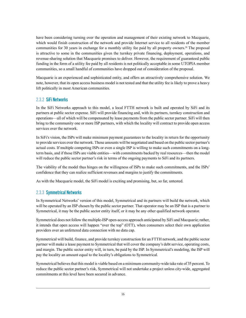have been considering turning over the operation and management of their existing network to Macquarie, which would finish construction of the network and provide Internet service to all residents of the member communities for 30 years in exchange for a monthly utility fee paid by all property owners.<sup>16</sup> The proposal is attractive to some in the communities given the turnkey private financing, deployment, operations, and revenue-sharing solution that Macquarie promises to deliver. However, the requirement of guaranteed public funding in the form of a utility fee paid by all residents is not politically acceptable in some UTOPIA member communities, so a small handful of communities have dropped out of consideration of the proposal.

Macquarie is an experienced and sophisticated entity, and offers an attractively comprehensive solution. We note, however, that its open access business model is not tested and that the utility fee is likely to prove a heavy lift politically in most American communities.

### 2.3.2 SiFi Networks

In the SiFi Networks approach to this model, a local FTTH network is built and operated by SiFi and its partners at public sector expense. SiFi will provide financing and, with its partners, turnkey construction and operations—all of which will be compensated by lease payments from the public sector partner. SiFi will then bring to the community one or more ISP partners, with which the locality will contract to provide open access services over the network.

In SiFi's vision, the ISPs will make minimum payment guarantees to the locality in return for the opportunity to provide services over the network. Those amounts will be negotiated and based on the public sector partner's actual costs. If multiple competing ISPs or even a single ISP is willing to make such commitments on a longterm basis, and if those ISPs are viable entities—with commitments backed by real resources—then the model will reduce the public sector partner's risk in terms of the ongoing payments to SiFi and its partners.

The viability of the model thus hinges on the willingness of ISPs to make such commitments, and the ISPs' confidence that they can realize sufficient revenues and margins to justify the commitments.

As with the Macquarie model, the SiFi model is exciting and promising, but, so far, untested.

#### 2.3.3 Symmetrical Networks

In Symmetrical Networks' version of this model, Symmetrical and its partners will build the network, which will be operated by an ISP chosen by the public sector partner. That operator may be an ISP that is a partner to Symmetrical, it may be the public sector entity itself, or it may be any other qualified network operator.

Symmetrical does not follow the multiple-ISP open-access approach anticipated by SiFi and Macquarie; rather, it intends that open access will happen "over the top" (OTT), when consumers select their own application providers over an unfettered data connection with no data cap.

Symmetrical will build, finance, and provide turnkey construction for an FTTH network, and the public sector partner will make a lease payment to Symmetrical that will cover the company's debt service, operating costs, and margin. The public sector entity will, in turn, be paid by the ISP. In Symmetrical's modeling, the ISP will pay the locality an amount equal to the locality's obligations to Symmetrical.

Symmetrical believes that this model is viable based on a minimum community-wide take rate of 35 percent. To reduce the public sector partner's risk, Symmetrical will not undertake a project unless city-wide, aggregated commitments at this level have been secured in advance.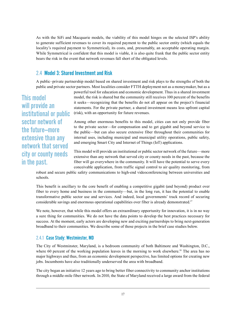As with the SiFi and Macquarie models, the viability of this model hinges on the selected ISP's ability to generate sufficient revenues to cover its required payment to the public sector entity (which equals the locality's required payment to Symmetrical), its costs, and, presumably, an acceptable operating margin. While Symmetrical is confident that this model is viable, it is also quite frank that the public sector entity bears the risk in the event that network revenues fall short of the obligated levels.

# <span id="page-16-1"></span>2.4 Model 3: Shared Investment and Risk

A public–private partnership model based on shared investment and risk plays to the strengths of both the public and private sector partners. Most localities consider FTTH deployment not as a moneymaker, but as a

This model will provide an institutional or public sector network of the future—more extensive than any network that served city or county needs in the past.

powerful tool for education and economic development. Thus in a shared investment model, the risk is shared but the community still receives 100 percent of the benefits it seeks—recognizing that the benefits do not all appear on the project's financial statements. For the private partner, a shared investment means less upfront capital (risk), with an opportunity for future revenues.

Among other enormous benefits to this model, cities can not only provide fiber to the private sector—for compensation and to get gigabit and beyond service to the public—but can also secure extensive fiber throughout their communities for internal uses, including municipal and municipal utility operations, public safety, and emerging Smart City and Internet of Things (IoT) applications.

This model will provide an institutional or public sector network of the future—more extensive than any network that served city or county needs in the past, because the fiber will go everywhere in the community. It will have the potential to serve every conceivable application, from traffic signal control to air quality monitoring, from

robust and secure public safety communications to high-end videoconferencing between universities and schools.

This benefit is ancillary to the core benefit of enabling a competitive gigabit (and beyond) product over fiber to every home and business in the community—but, in the long run, it has the potential to enable transformative public sector use and services. And indeed, local governments' track record of securing considerable savings and enormous operational capabilities over fiber is already demonstrated.17

We note, however, that while this model offers an extraordinary opportunity for innovation, it is in no way a sure thing for communities. We do not have the data points to develop the best practices necessary for success. At the moment, early actors are developing new and exciting partnerships to bring next-generation broadband to their communities. We describe some of those projects in the brief case studies below.

#### <span id="page-16-0"></span>2.4.1 Case Study: Westminster, MD

The City of Westminster, Maryland, is a bedroom community of both Baltimore and Washington, D.C., where 60 percent of the working population leaves in the morning to work elsewhere.<sup>18</sup> The area has no major highways and thus, from an economic development perspective, has limited options for creating new jobs. Incumbents have also traditionally underserved the area with broadband.

The city began an initiative 12 years ago to bring better fiber connectivity to community anchor institutions through a middle-mile fiber network. In 2010, the State of Maryland received a large award from the federal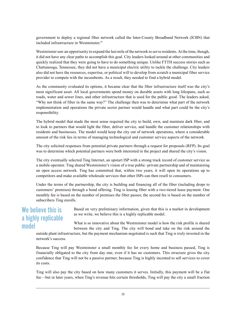government to deploy a regional fiber network called the Inter-County Broadband Network (ICBN) that included infrastructure in Westminster.<sup>19</sup>

Westminster saw an opportunity to expand the last mile of the network to serve residents. At the time, though, it did not have any clear paths to accomplish this goal. City leaders looked around at other communities and quickly realized that they were going to have to do something unique. Unlike FTTH success stories such as Chattanooga, Tennessee, they did not have a municipal electric utility to tackle the challenge. City leaders also did not have the resources, expertise, or political will to develop from scratch a municipal fiber service provider to compete with the incumbents. As a result, they needed to find a hybrid model.

As the community evaluated its options, it became clear that the fiber infrastructure itself was the city's most significant asset. All local governments spend money on durable assets with long lifespans, such as roads, water and sewer lines, and other infrastructure that is used for the public good. The leaders asked, "Why not think of fiber in the same way?" The challenge then was to determine what part of the network implementation and operations the private sector partner would handle and what part could be the city's responsibility.

The hybrid model that made the most sense required the city to build, own, and maintain dark fiber, and to look to partners that would light the fiber, deliver service, and handle the customer relationships with residents and businesses. The model would keep the city out of network operations, where a considerable amount of the risk lies in terms of managing technological and customer service aspects of the network.

The city solicited responses from potential private partners through a request for proposals (RFP). Its goal was to determine which potential partners were both interested in the project and shared the city's vision.

The city eventually selected Ting Internet, an upstart ISP with a strong track record of customer service as a mobile operator. Ting shared Westminster's vision of a true public–private partnership and of maintaining an open access network. Ting has committed that, within two years, it will open its operations up to competitors and make available wholesale services that other ISPs can then resell to consumers.

Under the terms of the partnership, the city is building and financing all of the fiber (including drops to customers' premises) through a bond offering. Ting is leasing fiber with a two-tiered lease payment. One monthly fee is based on the number of premises the fiber passes; the second fee is based on the number of subscribers Ting enrolls.

# We believe this is a highly replicable model

Based on very preliminary information, given that this is a market in development as we write, we believe this is a highly replicable model.

What is so innovative about the Westminster model is how the risk profile is shared between the city and Ting. The city will bond and take on the risk around the

outside plant infrastructure, but the payment mechanism negotiated is such that Ting is truly invested in the network's success.

Because Ting will pay Westminster a small monthly fee for every home and business passed, Ting is financially obligated to the city from day one, even if it has no customers. This structure gives the city confidence that Ting will not be a passive partner, because Ting is highly incented to sell services to cover its costs.

Ting will also pay the city based on how many customers it serves. Initially, this payment will be a flat fee—but in later years, when Ting's revenue hits certain thresholds, Ting will pay the city a small fraction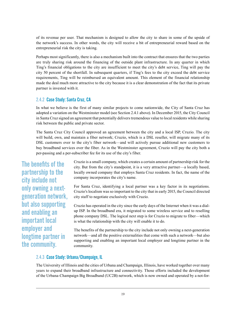of its revenue per user. That mechanism is designed to allow the city to share in some of the upside of the network's success. In other words, the city will receive a bit of entrepreneurial reward based on the entrepreneurial risk the city is taking.

Perhaps most significantly, there is also a mechanism built into the contract that ensures that the two parties are truly sharing risk around the financing of the outside plant infrastructure. In any quarter in which Ting's financial obligations to the city are insufficient to meet the city's debt service, Ting will pay the city 50 percent of the shortfall. In subsequent quarters, if Ting's fees to the city exceed the debt service requirements, Ting will be reimbursed an equivalent amount. This element of the financial relationship made the deal much more attractive to the city because it is a clear demonstration of the fact that its private partner is invested with it.

## 2.4.2 Case Study: Santa Cruz, CA

In what we believe is the first of many similar projects to come nationwide, the City of Santa Cruz has adopted a variation on the Westminster model (see Section [2.4.1](#page-16-0) above). In December 2015, the City Council in Santa Cruz signed an agreement that potentially delivers tremendous value to local residents while sharing risk between the public and private sector.

The Santa Cruz City Council approved an agreement between the city and a local ISP, Cruzio. The city will build, own, and maintain a fiber network; Cruzio, which is a DSL reseller, will migrate many of its DSL customers over to the city's fiber network—and will actively pursue additional new customers to buy broadband services over the fiber. As in the Westminster agreement, Cruzio will pay the city both a per-passing and a per-subscriber fee for its use of the city's fiber.

The benefits of the partnership to the city include not only owning a nextgeneration network, but also supporting and enabling an important local employer and longtime partner in the community.

Cruzio is a small company, which creates a certain amount of partnership risk for the city. But from the city's standpoint, it is a very attractive partner—a locally based, locally owned company that employs Santa Cruz residents. In fact, the name of the company incorporates the city's name.

For Santa Cruz, identifying a local partner was a key factor in its negotiations. Cruzio's localism was so important to the city that in early 2015, the Council directed city staff to negotiate exclusively with Cruzio.

Cruzio has operated in the city since the early days of the Internet when it was a dialup ISP. In the broadband era, it migrated to some wireless service and to reselling phone company DSL. The logical next step is for Cruzio to migrate to fiber—which is what the relationship with the city will enable it to do.

The benefits of the partnership to the city include not only owning a next-generation network—and all the positive externalities that come with such a network—but also supporting and enabling an important local employer and longtime partner in the community.

#### 2.4.3 Case Study: Urbana/Champaign, IL

The University of Illinois and the cities of Urbana and Champaign, Illinois, have worked together over many years to expand their broadband infrastructure and connectivity. Those efforts included the development of the Urbana-Champaign Big Broadband (UC2B) network, which is now owned and operated by a not-for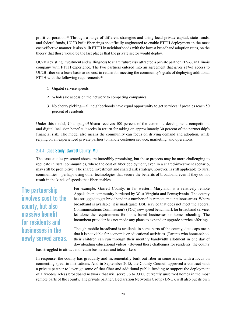profit corporation.20 Through a range of different strategies and using local private capital, state funds, and federal funds, UC2B built fiber rings specifically engineered to enable FTTH deployment in the most cost-effective manner. It also built FTTH in neighborhoods with the lowest broadband adoption rates, on the theory that those would be the last places that the private sector would deploy.

UC2B's existing investment and willingness to share future risk attracted a private partner, iTV-3, an Illinois company with FTTH experience. The two partners entered into an agreement that gives iTV-3 access to UC2B fiber on a lease basis at no cost in return for meeting the community's goals of deploying additional FTTH with the following requirements:<sup>21</sup>

- **1** Gigabit service speeds
- **2** Wholesale access on the network to competing companies
- **3** No cherry picking—all neighborhoods have equal opportunity to get services if presales reach 50 percent of residents

Under this model, Champaign/Urbana receives 100 percent of the economic development, competition, and digital inclusion benefits it seeks in return for taking on approximately 30 percent of the partnership's financial risk. The model also means the community can focus on driving demand and adoption, while relying on an experienced private partner to handle customer service, marketing, and operations.

## 2.4.4 Case Study: Garrett County, MD

The case studies presented above are incredibly promising, but those projects may be more challenging to replicate in rural communities, where the cost of fiber deployment, even in a shared-investment scenario, may still be prohibitive. The shared investment and shared risk strategy, however, is still applicable to rural communities—perhaps using other technologies that secure the benefits of broadband even if they do not result in the kinds of speeds that fiber enables.

The partnership involves cost to the county, but also massive benefit for residents and businesses in the newly served areas. For example, Garrett County, in far western Maryland, is a relatively remote Appalachian community bordered by West Virginia and Pennsylvania. The county has struggled to get broadband in a number of its remote, mountainous areas. Where broadband is available, it is inadequate DSL service that does not meet the Federal Communications Commission's (FCC) new speed benchmark for broadband service, let alone the requirements for home-based businesses or home schooling. The incumbent provider has not made any plans to expand or upgrade service offerings.

Though mobile broadband is available in some parts of the county, data caps mean that it is not viable for economic or educational activities. (Parents who home-school their children can run through their monthly bandwidth allotment in one day of downloading educational videos.) Beyond these challenges for residents, the county

has struggled to attract and retain businesses and teleworkers.

In response, the county has gradually and incrementally built out fiber in some areas, with a focus on connecting specific institutions. And in September 2015, the County Council approved a contract with a private partner to leverage some of that fiber and additional public funding to support the deployment of a fixed-wireless broadband network that will serve up to 3,000 currently unserved homes in the most remote parts of the county. The private partner, Declaration Networks Group (DNG), will also put its own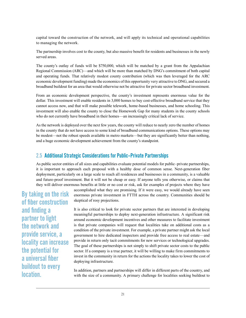capital toward the construction of the network, and will apply its technical and operational capabilities to managing the network.

The partnership involves cost to the county, but also massive benefit for residents and businesses in the newly served areas.

The county's outlay of funds will be \$750,000, which will be matched by a grant from the Appalachian Regional Commission (ARC)—and which will be more than matched by DNG's commitment of both capital and operating funds. That relatively modest county contribution (which was then leveraged for the ARC economic development funding) made the economics of this opportunity very attractive to DNG, and secured a broadband buildout for an area that would otherwise not be attractive for private sector broadband investment.

From an economic development perspective, the county's investment represents enormous value for the dollar. This investment will enable residents in 3,000 homes to buy cost-effective broadband service that they cannot access now, and that will make possible telework, home-based businesses, and home schooling. This investment will also enable the county to close the Homework Gap for many students in the county schools who do not currently have broadband in their homes—an increasingly critical lack of service.

As the network is deployed over the next few years, the county will reduce to nearly zero the number of homes in the county that do not have access to some kind of broadband communications options. These options may be modest—not the robust speeds available in metro markets—but they are significantly better than nothing, and a huge economic development achievement from the county's standpoint.

# 2.5 Additional Strategic Considerations for Public–Private Partnerships

As public sector entities of all sizes and capabilities evaluate potential models for public–private partnerships, it is important to approach each proposal with a healthy dose of common sense. Next-generation fiber deployment, particularly on a large scale to reach all residences and businesses in a community, is a valuable and future-proof investment. But it will not be cheap or easy. If anyone tells you otherwise, or claims that they will deliver enormous benefits at little or no cost or risk, ask for examples of projects where they have

By taking on the risk of fiber construction and finding a partner to light the network and provide service, a locality can increase the potential for a universal fiber buildout to every location.

accomplished what they are promising. If it were easy, we would already have seen enormous private investment in FTTH across the country. Communities should be skeptical of rosy projections.

It is also critical to look for private sector partners that are interested in developing meaningful partnerships to deploy next-generation infrastructure. A significant risk around economic development incentives and other measures to facilitate investment is that private companies will request that localities take on additional costs as a condition of the private investment. For example, a private partner might ask the local government to hire dedicated inspectors and provide free access to real estate—and provide in return only tacit commitments for new services or technological upgrades. The goal of these partnerships is not simply to shift private sector costs to the public sector. If a company is a true partner, it will be willing to make firm commitments to invest in the community in return for the actions the locality takes to lower the cost of deploying infrastructure.

In addition, partners and partnerships will differ in different parts of the country, and with the size of a community. A primary challenge for localities seeking buildout to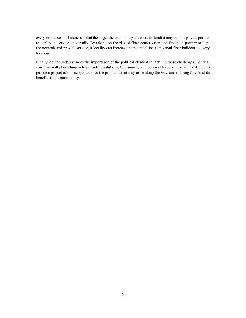every residence and business is that the larger the community, the more difficult it may be for a private partner to deploy its service universally. By taking on the risk of fiber construction and finding a partner to light the network and provide service, a locality can increase the potential for a universal fiber buildout to every location.

Finally, do not underestimate the importance of the political element in tackling these challenges. Political concerns will play a huge role in finding solutions. Community and political leaders must jointly decide to pursue a project of this scope, to solve the problems that may arise along the way, and to bring fiber and its benefits to the community.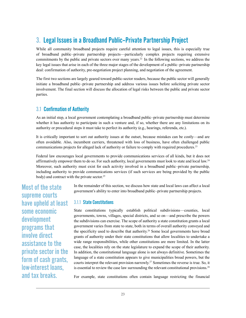# 3. Legal Issues in a Broadband Public–Private Partnership Project

While all community broadband projects require careful attention to legal issues, this is especially true of broadband public–private partnership projects—particularly complex projects requiring extensive commitments by the public and private sectors over many years.<sup>22</sup> In the following sections, we address the key legal issues that arise in each of the three major stages of the development of a public–private partnership deal: confirmation of authority, pre-negotiation project planning, and negotiation of the agreement.

The first two sections are largely geared toward public-sector readers, because the public sector will generally initiate a broadband public–private partnership and address various issues before soliciting private sector involvement. The final section will discuss the allocation of legal risks between the public and private sector parties.

# 3.1 Confirmation of Authority

As an initial step, a local government contemplating a broadband public–private partnership must determine whether it has authority to participate in such a venture and, if so, whether there are any limitations on its authority or procedural steps it must take to perfect its authority (e.g., hearings, referenda, etc.).

It is critically important to sort out authority issues at the outset, because mistakes can be costly—and are often avoidable. Also, incumbent carriers, threatened with loss of business, have often challenged public communications projects for alleged lack of authority or failure to comply with required procedures.23

Federal law encourages local governments to provide communications services of all kinds, but it does not affirmatively empower them to do so. For such authority, local governments must look to state and local law.<sup>24</sup> Moreover, such authority must exist for each activity involved in a broadband public–private partnership, including authority to provide communications services (if such services are being provided by the public body) and contract with the private sector.<sup>25</sup>

Most of the state supreme courts have upheld at least some economic development programs that involve direct assistance to the private sector in the form of cash grants, low-interest loans, and tax breaks.

In the remainder of this section, we discuss how state and local laws can affect a local government's ability to enter into broadband public–private partnership projects.

## 3.1.1 State Constitutions

State constitutions typically establish political subdivisions—counties, local governments, towns, villages, special districts, and so on—and prescribe the powers the subdivisions can exercise. The scope of authority a state constitution grants a local government varies from state to state, both in terms of overall authority conveyed and the specificity used to describe that authority.<sup>26</sup> Some local governments have broad grants of authority under their state constitutions that allow localities to undertake a wide range responsibilities, while other constitutions are more limited. In the latter case, the localities rely on the state legislature to expand the scope of their authority. In addition, the constitutional language alone is not always definitive. Sometimes the language of a state constitution appears to give municipalities broad powers, but the courts interpret the relevant provision narrowly.27 Sometimes the reverse is true. So, it is essential to review the case law surrounding the relevant constitutional provisions.<sup>28</sup>

For example, state constitutions often contain language restricting the financial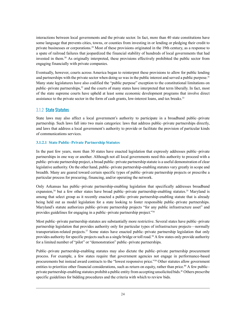interactions between local governments and the private sector. In fact, more than 40 state constitutions have some language that prevents cities, towns, or counties from investing in or lending or pledging their credit to private businesses or corporations.29 Most of these provisions originated in the 19th century, as a response to a spate of railroad failures that jeopardized the financial stability of hundreds of local governments that had invested in them.30 As originally interpreted, these provisions effectively prohibited the public sector from engaging financially with private companies.

Eventually, however, courts across America began to reinterpret these provisions to allow for public lending and partnerships with the private sector when doing so was in the public interest and served a public purpose.<sup>31</sup> Many state legislatures have also codified the "public purpose" exception to the constitutional limitations on public–private partnerships,<sup>32</sup> and the courts of many states have interpreted that term liberally. In fact, most of the state supreme courts have upheld at least some economic development programs that involve direct assistance to the private sector in the form of cash grants, low-interest loans, and tax breaks.<sup>33</sup>

## 3.1.2 State Statutes

State laws may also affect a local government's authority to participate in a broadband public–private partnership. Such laws fall into two main categories: laws that address public–private partnerships directly, and laws that address a local government's authority to provide or facilitate the provision of particular kinds of communications services.

#### **3.1.2.1 State Public–Private Partnership Statutes**

In the past few years, more than 30 states have enacted legislation that expressly addresses public–private partnerships in one way or another. Although not all local governments need this authority to proceed with a public–private partnership project, a broad public–private partnership statute is a useful demonstration of clear legislative authority. On the other hand, public–private partnership-enabling statutes vary greatly in scope and breadth. Many are geared toward certain specific types of public–private partnership projects or prescribe a particular process for procuring, financing, and/or operating the network.

Only Arkansas has public–private partnership-enabling legislation that specifically addresses broadband expansion,<sup>34</sup> but a few other states have broad public–private partnership-enabling statutes.<sup>35</sup> Maryland is among that select group as it recently enacted a public–private partnership-enabling statute that is already being held out as model legislation for a state looking to foster responsible public–private partnerships. Maryland's statute authorizes public–private partnership projects "for any public infrastructure asset" and provides guidelines for engaging in a public–private partnership project."36

Most public–private partnership statutes are substantially more restrictive. Several states have public–private partnership legislation that provides authority only for particular types of infrastructure projects—normally transportation-related projects. $37$  Some states have enacted public–private partnership legislation that only provides authority for specific projects such as a single bridge or toll road.38 A few states only provide authority for a limited number of "pilot" or "demonstration" public–private partnerships.

Public–private partnership-enabling statutes may also dictate the public–private partnership procurement process. For example, a few states require that government agencies not engage in performance-based procurements but instead award contracts to the "lowest responsive price."39 Other statutes allow government entities to prioritize other financial considerations, such as return on equity, rather than price.<sup>40</sup> A few public– private partnership-enabling statutes prohibit a public entity from accepting unsolicited bids.41 Others prescribe specific guidelines for bidding procedures and the criteria with which to review bids.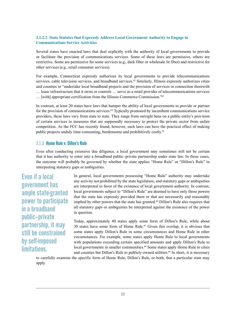#### **3.1.2.2 State Statutes that Expressly Address Local Government Authority to Engage in Communications Service Activities**

Several states have enacted laws that deal explicitly with the authority of local governments to provide or facilitate the provision of communications services. Some of these laws are permissive, others are restrictive. Some are permissive for some services (e.g., dark fiber or wholesale lit fiber) and restrictive for other services (e.g., retail consumer services).

For example, Connecticut expressly authorizes its local governments to provide telecommunications services, cable television services, and broadband services.<sup>42</sup> Similarly, Illinois expressly authorizes cities and counties to "undertake local broadband projects and the provision of services in connection therewith … lease infrastructure that it owns or controls … serve as a retail provider of telecommunications services … [with] appropriate certification from the Illinois Commerce Commission."43

In contrast, at least 20 states have laws that hamper the ability of local governments to provide or partner for the provision of communications services.44 Typically promoted by incumbent communications service providers, these laws vary from state to state. They range from outright bans on a public entity's provision of certain services to measures that are supposedly necessary to protect the private sector from unfair competition. As the FCC has recently found, however, such laws can have the practical effect of making public projects unduly time-consuming, burdensome and prohibitively costly.45

#### 3.1.3 Home Rule v. Dillon's Rule

Even after conducting extensive due diligence, a local government may sometimes still not be certain that it has authority to enter into a broadband public–private partnership under state law. In those cases, the outcome will probably be governed by whether the state applies "Home Rule" or "Dillon's Rule" in interpreting statutory gaps or ambiguities.

Even if a local government has ample state-granted power to participate in a broadband public–private partnership, it may still be constrained by self-imposed limitations.

In general, local governments possessing "Home Rule" authority may undertake any activity not prohibited by the state legislature, and statutory gaps or ambiguities are interpreted in favor of the existence of local government authority. In contrast, local governments subject to "Dillon's Rule" are deemed to have only those powers that the state has expressly provided them or that are necessarily and reasonably implied by other powers that the state has granted.<sup>46</sup> Dillon's Rule also requires that all statutory gaps or ambiguities be interpreted against the existence of the power in question.

Today, approximately 40 states apply some form of Dillon's Rule, while about 30 states have some form of Home Rule.47 Given this overlap, it is obvious that some states apply Dillon's Rule in some circumstances and Home Rule in other circumstances. For example, some states apply Home Rule to local governments with populations exceeding certain specified amounts and apply Dillon's Rule to local governments in smaller communities.<sup>48</sup> Some states apply Home Rule to cities and counties but Dillon's Rule to publicly-owned utilities.<sup>49</sup> In short, it is necessary

to carefully examine the specific form of Home Rule, Dillon's Rule, or both, that a particular state may apply.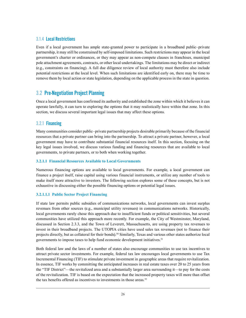## 3.1.4 Local Restrictions

Even if a local government has ample state-granted power to participate in a broadband public–private partnership, it may still be constrained by self-imposed limitations. Such restrictions may appear in the local government's charter or ordinances, or they may appear as non-compete clauses in franchises, municipal pole attachment agreements, contracts, or other local undertakings. The limitations may be direct or indirect (e.g., constraints on financing). A full due diligence review of local authority must therefore also include potential restrictions at the local level. When such limitations are identified early on, there may be time to remove them by local action or state legislation, depending on the applicable process in the state in question.

# 3.2 Pre-Negotiation Project Planning

Once a local government has confirmed its authority and established the zone within which it believes it can operate lawfully, it can turn to exploring the options that it may realistically have within that zone. In this section, we discuss several important legal issues that may affect these options.

## 3.2.1 Financing

Many communities consider public–private partnership projects desirable primarily because of the financial resources that a private partner can bring into the partnership. To attract a private partner, however, a local government may have to contribute substantial financial resources itself. In this section, focusing on the key legal issues involved, we discuss various funding and financing resources that are available to local governments, to private partners, or to both when working together.

#### **3.2.1.1 Financial Resources Available to Local Governments**

Numerous financing options are available to local governments. For example, a local government can finance a project itself, raise capital using various financial instruments, or utilize any number of tools to make itself more attractive to investors. The following section explores some of these concepts, but is not exhaustive in discussing either the possible financing options or potential legal issues.

#### **3.2.1.1.1 Public Sector Project Financing**

If state law permits public subsidies of communications networks, local governments can invest surplus revenues from other sources (e.g., municipal utility revenues) in communications networks. Historically, local governments rarely chose this approach due to insufficient funds or political sensitivities, but several communities have utilized this approach more recently. For example, the City of Westminster, Maryland, discussed in Section 2.3.3, and the Town of Leverett, Massachusetts, are using property tax revenues to invest in their broadband projects. The UTOPIA cities have used sales tax revenues (not to finance their projects directly, but as collateral for their bonds).50 Similarly, Texas and various other states authorize local governments to impose taxes to help fund economic development initiatives.51

Both federal law and the laws of a number of states also encourage communities to use tax incentives to attract private sector investments. For example, federal tax law encourages local governments to use Tax Incremental Financing (TIF) to stimulate private investment in geographic areas that require revitalization. In essence, TIF works by committing the anticipated increases in real estate taxes over 20 to 25 years from the "TIF District"—the revitalized area and a substantially larger area surrounding it—to pay for the costs of the revitalization. TIF is based on the expectation that the increased property taxes will more than offset the tax benefits offered as incentives to investments in those areas.<sup>52</sup>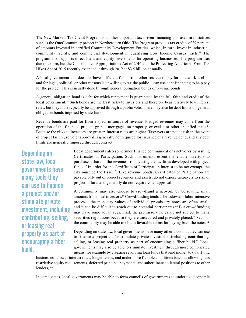The New Markets Tax Credit Program is another important tax-driven financing tool used in initiatives such as the OneCommunity project in Northeastern Ohio. The Program provides tax credits of 39 percent of amounts invested in certified Community Development Entities, which, in turn, invest in industrial, community facility, and commercial development in qualifying Low Income Census tracts.<sup>53</sup> The program also supports direct loans and equity investments for operating businesses. The program was due to expire, but the Consolidated Appropriations Act of 2016 and the Protecting Americans From Tax Hikes Act of 2015 recently extended it through 2019 at \$3.5 billion annually.

A local government that does not have sufficient funds from other sources to pay for a network itself and for legal, political, or other reasons is unwilling to tax the public—can use debt financing to help pay for the project. This is usually done through general obligation bonds or revenue bonds.

A general obligation bond is debt for which repayment is guaranteed by the full faith and credit of the local government.<sup>54</sup> Such bonds are the least risky to investors and therefore bear relatively low interest rates, but they must typically be approved through a public vote. There may also be debt limits on general obligation bonds imposed by state law.55

Revenue bonds are paid for from a specific source of revenue. Pledged revenues may come from the operation of the financed project, grants, mortgages on property, or excise or other specified taxes.<sup>56</sup> Because the risks to investors are greater, interest rates are higher. Taxpayers are not at risk in the event of project failure, so voter approval is generally not required for issuance of a revenue bond, and any debt limits are generally imposed through contract.

Depending on state law, local governments have many tools they can use to finance a project and/or stimulate private investment, including contributing, selling, or leasing real property as part of encouraging a fiber build.

Local governments also sometimes finance communications networks by issuing Certificates of Participation. Such instruments essentially enable investors to purchase a share of the revenues from leasing the facilities developed with project funds.57 In order for the Certificate of Participation interest to be tax exempt, the city must be the lessee.<sup>58</sup> Like revenue bonds, Certificates of Participation are payable only out of project revenues and assets, do not expose taxpayers to risk of project failure, and generally do not require voter approval.

A community may also choose to crowdfund a network by borrowing small amounts from local investors.59 Crowdfunding tends to be a slow and labor-intensive process—the monetary values of individual promissory notes are often small, and it can be difficult to reach out to potential participants.<sup>60</sup> But crowdfunding may have some advantages. First, the promissory notes are not subject to many securities regulations because they are unsecured and privately placed.<sup>61</sup> Second, the community may be able to obtain favorable terms for paying back the notes.<sup>62</sup>

Depending on state law, local governments have many other tools that they can use to finance a project and/or stimulate private investment, including contributing, selling, or leasing real property as part of encouraging a fiber build.<sup>63</sup> Local governments may also be able to stimulate investment through more complicated means, for example by creating revolving loan funds that lend money to qualifying

businesses at lower interest rates, longer terms, and under more flexible conditions (such as allowing less restrictive equity requirements, deferred principal payments, and subordinate collateral positions to other lenders).<sup>64</sup>

In some states, local governments may be able to form councils of governments to undertake economic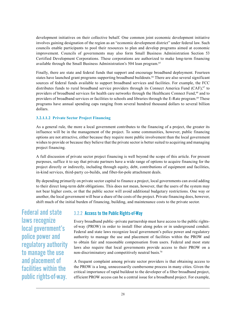development initiatives on their collective behalf. One common joint economic development initiative involves gaining designation of the region as an "economic development district" under federal law. Such councils enable participants to pool their resources to plan and develop programs aimed at economic improvement. Councils of governments may also form Small Business Administration Section 53 Certified Development Corporations. These corporations are authorized to make long-term financing available through the Small Business Administration's 504 loan program.<sup>65</sup>

Finally, there are state and federal funds that support and encourage broadband deployment. Fourteen states have launched grant programs supporting broadband buildouts.<sup>66</sup> There are also several significant sources of federal funds available to support broadband services and facilities. For example, the FCC distributes funds to rural broadband service providers through its Connect America Fund (CAF),<sup>67</sup> to providers of broadband services for health care networks through the Healthcare Connect Fund,<sup>68</sup> and to providers of broadband services or facilities to schools and libraries through the E-Rate program.<sup>69</sup> These programs have annual spending caps ranging from several hundred thousand dollars to several billion dollars.

#### **3.2.1.1.2 Private Sector Project Financing**

As a general rule, the more a local government contributes to the financing of a project, the greater its influence will be in the management of the project. To some communities, however, public financing options are not attractive, either because they require more public involvement than the local government wishes to provide or because they believe that the private sector is better suited to acquiring and managing project financing.

A full discussion of private sector project financing is well beyond the scope of this article. For present purposes, suffice it to say that private partners have a wide range of options to acquire financing for the project directly or indirectly, including through equity, debt, contributions of equipment and facilities, in-kind services, third-party co-builds, and fiber-for-pole attachment deals.

By depending primarily on private sector capital to finance a project, local governments can avoid adding to their direct long-term debt obligations. This does not mean, however, that the users of the system may not bear higher costs, or that the public sector will avoid additional budgetary restrictions. One way or another, the local government will bear a share of the costs of the project. Private financing does, however, shift much of the initial burden of financing, building, and maintenance costs to the private sector.

Federal and state laws recognize local government's police power and regulatory authority to manage the use and placement of facilities within the public rights-of-way.

## 3.2.2 Access to the Public Rights-of-Way

Every broadband public–private partnership must have access to the public rightsof-way (PROW) in order to install fiber along poles or in underground conduit. Federal and state laws recognize local government's police power and regulatory authority to manage the use and placement of facilities within the PROW and to obtain fair and reasonable compensation from users. Federal and most state laws also require that local governments provide access to their PROW on a non-discriminatory and competitively neutral basis.70

A frequent complaint among private sector providers is that obtaining access to the PROW is a long, unnecessarily cumbersome process in many cities. Given the critical importance of rapid buildout to the developer of a fiber broadband project, efficient PROW access can be a central issue for a broadband project. For example,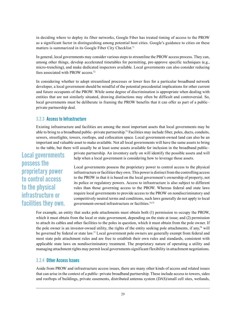in deciding where to deploy its fiber networks, Google Fiber has treated timing of access to the PROW as a significant factor in distinguishing among potential host cities. Google's guidance to cities on these matters is summarized in its Google Fiber City Checklist.<sup>71</sup>

In general, local governments may consider various steps to streamline the PROW access process. They can, among other things, develop accelerated timetables for permitting, pre-approve specific techniques (e.g., micro-trenching), and make dedicated inspectors available. Local governments can also consider reducing fees associated with PROW access.72

In considering whether to adopt streamlined processes or lower fees for a particular broadband network developer, a local government should be mindful of the potential precedential implications for other current and future occupants of the PROW. While some degree of discrimination is appropriate when dealing with entities that are not similarly situated, drawing distinctions may often be difficult and controversial. So, local governments must be deliberate in framing the PROW benefits that it can offer as part of a public– private partnership deal.

#### 3.2.3 Access to Infrastructure

Existing infrastructure and facilities are among the most important assets that local governments may be able to bring to a broadband public–private partnership.73 Facilities may include fiber, poles, ducts, conduits, sewers, streetlights, towers, rooftops, and collocation space. Local government-owned land can also be an important and valuable asset to make available. Not all local governments will have the same assets to bring to the table, but there will usually be at least some assets available for inclusion in the broadband public–

Local governments possess the proprietary power to control access to the physical infrastructure or facilities they own. private partnership. An inventory early on will identify the possible assets and will help when a local government is considering how to leverage those assets.

Local governments possess the proprietary power to control access to the physical infrastructure or facilities they own. This power is distinct from the controlling access to the PROW in that it is based on the local government's ownership of property, not its police or regulatory powers. Access to infrastructure is also subject to different rules than those governing access to the PROW. Whereas federal and state laws require local governments to provide access to the PROW on nondiscriminatory and competitively neutral terms and conditions, such laws generally do not apply to local government-owned infrastructure or facilities.74,75

For example, an entity that seeks pole attachments must obtain both (1) permission to occupy the PROW, which it must obtain from the local or state government, depending on the state at issue; and (2) permission to attach its cables and other facilities to the poles in question, which it must obtain from the pole owner. If the pole owner is an investor-owned utility, the rights of the entity seeking pole attachments, if any,<sup>76</sup> will be governed by federal or state law.<sup>77</sup> Local government pole owners are generally exempt from federal and most state pole attachment rules and are free to establish their own rules and standards, consistent with applicable state laws on nondiscriminatory treatment. The proprietary nature of operating a utility and managing attachment rights may permit local governments significant flexibility in attachment negotiations.

#### 3.2.4 Other Access Issues

Aside from PROW and infrastructure access issues, there are many other kinds of access and related issues that can arise in the context of a public–private broadband partnership. These include access to towers, sides and rooftops of buildings, private easements, distributed antenna system (DAS)/small cell sites, wetlands,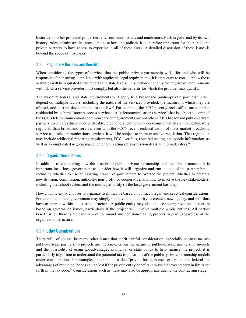historical or other protected properties, environmental issues, and much more. Each is governed by its own history, rules, administrative precedent, case law, and politics. It is therefore important for the public and private partners to have access to expertise in all of these areas. A detailed discussion of these issues is beyond the scope of this paper.

# 3.2.5 Regulatory Burdens and Benefits

When considering the types of services that the public–private partnership will offer and who will be responsible for ensuring compliance with applicable legal requirements, it is important to consider how those activities will be regulated at the federal and state levels. This includes not only the regulatory requirements with which a service provider must comply, but also the benefits for which the provider may qualify.

The way that federal and state requirements will apply to a broadband public–private partnership will depend on multiple factors, including the nature of the services provided, the manner in which they are offered, and current developments in the law.78 For example, the FCC recently reclassified mass-market residential broadband Internet access service as a "telecommunications service" that is subject to some of the FCC's telecommunications common carrier requirements but not others.79 If a broadband public–private partnership bundles this service with cable, telephone, and other services (some of which are more extensively regulated than broadband service, even with the FCC's recent reclassification of mass-market broadband service as a telecommunications service), it will be subject to more extensive regulation. That regulation may include additional reporting requirements, FCC user fees, required testing, and public information, as well as a complicated negotiating scheme for creating retransmission deals with broadcasters.<sup>80</sup>

## 3.2.6 Organizational Issues

In addition to considering how the broadband public–private partnership itself will be structured, it is important for a local government to consider how it will organize and run its side of the partnership including whether to use an existing branch of government to oversee the project; whether to create a new division, commission, authority, non-profit, or cooperative; and how to involve the key stakeholders, including the school system and the municipal utility (if the local government has one).

How a public entity chooses to organize itself may be based on political, legal, and practical considerations. For example, a local government may simply not have the authority to create a new agency, and will thus have to operate within its existing structure. A public entity may also choose its organizational structure based on governance issues, particularly if the project will involve multiple public entities. All parties benefit when there is a clear chain of command and decision-making process in place, regardless of the organization structure.

## 3.2.7 Other Considerations

There will, of course, be many other issues that merit careful consideration, especially because no two public–private partnership projects are the same. Given the nature of public–private partnership projects and the possibility of using tax-advantaged municipal or state bonds to help finance the project, it is particularly important to understand the potential tax implications of the public–private partnership models under consideration. For example, under the so-called "private business use" exception, the federal tax advantages of municipal bonds can be lost if the private entity benefits in ways that exceed certain limits set forth in the tax code.<sup>81</sup> Considerations such as these may also be appropriate during the contracting stage.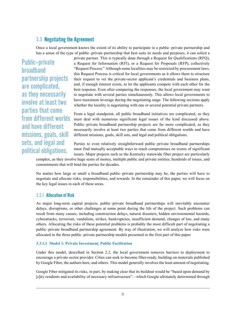# 3.3 Negotiating the Agreement

Once a local government knows the extent of its ability to participate in a public–private partnership and has a sense of the type of public–private partnership that best suits its needs and purposes, it can solicit a

Public–private broadband partnership projects are complicated, as they necessarily involve at least two parties that come from different worlds and have different missions, goals, skill sets, and legal and political obligations.

private partner. This is typically done through a Request for Qualifications (RFQ), a Request for Information (RFI), or a Request for Proposals (RFP), collectively "Request Process." Although some localities may be restricted by procurement laws, this Request Process is critical for local governments as it allows them to structure their request to vet the private-sector applicant's credentials and business plans, and, if enough interest exists, to let the applicants compete with each other for the best response. Even after comparing the responses, the local government may want to negotiate with several parties simultaneously. This allows local governments to have maximum leverage during the negotiating stage. The following sections apply whether the locality is negotiating with one or several potential private partners.

From a legal standpoint, all public broadband initiatives are complicated, as they must deal with numerous significant legal issues of the kind discussed above. Public–private broadband partnership projects are far more complicated, as they necessarily involve at least two parties that come from different worlds and have different missions, goals, skill sets, and legal and political obligations.

Parties to even relatively straightforward public–private broadband partnerships must find mutually acceptable ways to reach compromises on scores of significant issues. Major projects such as the Kentucky statewide fiber project are particularly

complex, as they involve huge sums of money, multiple public and private entities, hundreds of issues, and commitments that will bind the parties for decades.

No matter how large or small a broadband public–private partnership may be, the parties will have to negotiate and allocate risks, responsibilities, and rewards. In the remainder of this paper, we will focus on the key legal issues in each of these areas.

## 3.3.1 Allocation of Risk

As major long-term capital projects, public–private broadband partnerships will inevitably encounter delays, disruptions, or other challenges at some point during the life of the project. Such problems can result from many causes, including construction delays, natural disasters, hidden environmental hazards, cyberattacks, terrorism, vandalism, strikes, bankruptcies, insufficient demand, changes of law, and many others. Allocating the risks of these potential problems is probably the most difficult part of negotiating a public–private broadband partnership agreement. By way of illustration, we will analyze how risks were allocated in the three public–private partnership models presented in the first part of this paper.

#### **3.3.1.1 Model 1: Private Investment, Public Facilitation**

Under this model, described in Section [2.2,](#page-11-0) the local government removes barriers to deployment to encourage a private sector provider. Cities can seek to become fiber-ready, building on materials published by Google Fiber, the authors here, and others. This model generally involves the least amount of negotiating.

Google Fiber mitigated its risks, in part, by making clear that its buildout would be "based upon demand by [c]ity residents and availability of necessary infrastructure"—which Google ultimately determined through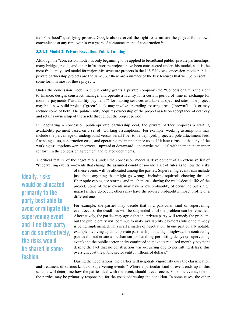its "Fiberhood" qualifying process. Google also reserved the right to terminate the project for its own convenience at any time within two years of commencement of construction.<sup>82</sup>

#### **3.3.1.2 Model 2: Private Execution, Public Funding**

Although the "concession model" is only beginning to be applied to broadband public–private partnerships, many bridges, roads, and other infrastructure projects have been constructed under this model, as it is the most frequently used model for major infrastructure projects in the U.S.<sup>83</sup> No two concession-model public– private partnership projects are the same, but there are a number of the key features that will be present in some form in most of these projects.

Under the concession model, a public entity grants a private company (the "Concessionaire") the right to finance, design, construct, manage, and operate a facility for a certain period of time in exchange for monthly payments ("availability payments") for making services available at specified sites. The project may be a new-build project ("greenfield"), may involve upgrading existing areas ("brownfield"), or may include some of both. The public entity acquires ownership of the project assets on acceptance of delivery and retains ownership of the assets throughout the project period.

In negotiating a concession public–private partnership deal, the private partner proposes a starting availability payment based on a set of "working assumptions." For example, working assumptions may include the percentage of underground versus aerial fiber to be deployed, projected pole attachment fees, financing costs, construction costs, and operating and maintenance costs. If it later turns out that any of the working assumptions were incorrect—upward or downward—the parties will deal with them in the manner set forth in the concession agreement and related documents.

A critical feature of the negotiations under the concession model is development of an extensive list of "supervening events"—events that change the assumed conditions—and a set of rules as to how the risks

Ideally, risks would be allocated primarily to the party best able to avoid or mitigate the supervening event, and if neither party can do so effectively, the risks would be shared in some fashion.

of these events will be allocated among the parties. Supervening events can include just about anything that might go wrong—including squirrels chewing through fiber optic cables, ice storms, and much more—during the multi-decade life of the project. Some of these events may have a low probability of occurring but a high impact if they do occur; others may have the reverse probability/impact profile or a different one.

For example, the parties may decide that if a particular kind of supervening event occurs, the deadlines will be suspended until the problem can be remedied. Alternatively, the parties may agree that the private party will remedy the problem, but the public entity will continue to make availability payments while the remedy is being implemented. This is all a matter of negotiation. In one particularly notable example involving a public–private partnership for a major highway, the contracting parties did not create a mechanism for handling permitting delays (a supervening event) and the public sector entity continued to make its required monthly payment despite the fact that no construction was occurring due to permitting delays; this oversight cost the public sector entity millions of dollars.<sup>84</sup>

During the negotiations, the parties will negotiate vigorously over the classification and treatment of various kinds of supervening events.<sup>85</sup> Where a particular kind of event ends up in this scheme will determine how the parties deal with the event, should it ever occur. For some events, one of the parties may be primarily responsible for the costs addressing the condition. In some cases, the other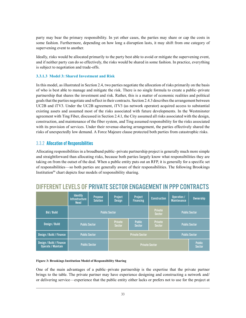party may bear the primary responsibility. In yet other cases, the parties may share or cap the costs in some fashion. Furthermore, depending on how long a disruption lasts, it may shift from one category of supervening event to another.

Ideally, risks would be allocated primarily to the party best able to avoid or mitigate the supervening event, and if neither party can do so effectively, the risks would be shared in some fashion. In practice, everything is subject to negotiation and trade-offs.

#### **3.3.1.3 Model 3: Shared Investment and Risk**

In this model, as illustrated in Section [2.4](#page-16-1), two parties negotiate the allocation of risks primarily on the basis of who is best able to manage and mitigate the risk. There is no single formula to create a public–private partnership that shares the investment and risk. Rather, this is a matter of economic realities and political goals that the parties negotiate and reflect in their contracts. Section 2.4.3 describes the arrangement between UC2B and iTV3. Under the UC2B agreement, iTV3 (as network operator) acquired access to substantial existing assets and assumed most of the risks associated with future developments. In the Westminster agreement with Ting Fiber, discussed in Section [2.4.1](#page-16-0), the City assumed all risks associated with the design, construction, and maintenance of the fiber system, and Ting assumed responsibility for the risks associated with its provision of services. Under their revenue-sharing arrangement, the parties effectively shared the risks of unexpectedly low demand. A Force Majeure clause protected both parties from catastrophic risks.

#### 3.3.2 Allocation of Responsibilities

Allocating responsibilities in a broadband public–private partnership project is generally much more simple and straightforward than allocating risks, because both parties largely know what responsibilities they are taking on from the outset of the deal. When a public entity puts out an RFP, it is generally for a specific set of responsibilities—so both parties are generally aware of their responsibilities. The following Brookings Institution<sup>86</sup> chart depicts four models of responsibility sharing.

|                                                       | <b>Identify</b><br>Infrastructure<br><b>Need</b> | Propose,<br><b>Solution</b> | Project<br><b>Design</b>        | Project<br><b>Financing</b>    | <b>Construction</b>             | Operation /<br><b>Maintenance</b> | <b>Ownership</b> |
|-------------------------------------------------------|--------------------------------------------------|-----------------------------|---------------------------------|--------------------------------|---------------------------------|-----------------------------------|------------------|
| <b>Bid / Build</b>                                    | <b>Public Sector</b>                             |                             |                                 |                                |                                 | <b>Public Sector</b>              |                  |
| Design / Build                                        | <b>Public Sector</b>                             |                             | <b>Private</b><br><b>Sector</b> | <b>Public</b><br><b>Sector</b> | <b>Private</b><br><b>Sector</b> | <b>Public Sector</b>              |                  |
| Design / Build / Finance                              | <b>Public Sector</b>                             |                             | <b>Private Sector</b>           |                                |                                 | <b>Public Sector</b>              |                  |
| Design / Build / Finance<br><b>Operate / Maintain</b> | <b>Public Sector</b>                             |                             | <b>Private Sector</b>           |                                |                                 | <b>Public</b><br><b>Sector</b>    |                  |

# Different Levels of Private Sector Engagement in PPP Contracts

#### **Figure 3: Brookings Institution Model of Responsibility Sharing**

One of the main advantages of a public–private partnership is the expertise that the private partner brings to the table. The private partner may have experience designing and constructing a network and/ or delivering service—experience that the public entity either lacks or prefers not to use for the project at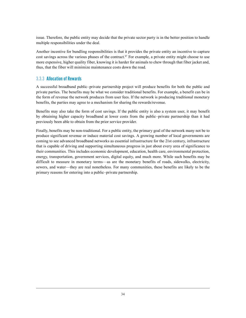issue. Therefore, the public entity may decide that the private sector party is in the better position to handle multiple responsibilities under the deal.

Another incentive for bundling responsibilities is that it provides the private entity an incentive to capture cost savings across the various phases of the contract.<sup>87</sup> For example, a private entity might choose to use more expensive, higher quality fiber, knowing it is harder for animals to chew through that fiber jacket and, thus, that the fiber will minimize maintenance costs down the road.

### 3.3.3 Allocation of Rewards

A successful broadband public–private partnership project will produce benefits for both the public and private parties. The benefits may be what we consider traditional benefits. For example, a benefit can be in the form of revenue the network produces from user fees. If the network is producing traditional monetary benefits, the parties may agree to a mechanism for sharing the rewards/revenue.

Benefits may also take the form of cost savings. If the public entity is also a system user, it may benefit by obtaining higher capacity broadband at lower costs from the public–private partnership than it had previously been able to obtain from the prior service provider.

Finally, benefits may be non-traditional. For a public entity, the primary goal of the network many not be to produce significant revenue or induce material cost savings. A growing number of local governments are coming to see advanced broadband networks as essential infrastructure for the 21st century, infrastructure that is capable of driving and supporting simultaneous progress in just about every area of significance to their communities. This includes economic development, education, health care, environmental protection, energy, transportation, government services, digital equity, and much more. While such benefits may be difficult to measure in monetary terms—as are the monetary benefits of roads, sidewalks, electricity, sewers, and water—they are real nonetheless. For many communities, these benefits are likely to be the primary reasons for entering into a public–private partnership.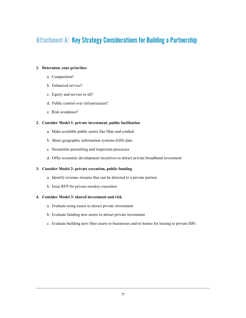# Attachment A: Key Strategy Considerations for Building a Partnership

#### **1. Determine your priorities**

- a. Competition?
- b. Enhanced service?
- c. Equity and service to all?
- d. Public control over infrastructure?
- e. Risk avoidance?

#### **2. Consider Model 1: private investment, public facilitation**

- a. Make available public assets like fiber and conduit
- b. Share geographic information systems (GIS) data
- c. Streamline permitting and inspection processes
- d. Offer economic development incentives to attract private broadband investment

#### **3. Consider Model 2: private execution, public funding**

- a. Identify revenue streams that can be directed to a private partner
- b. Issue RFP for private turnkey execution

#### **4. Consider Model 3: shared investment and risk**

- a. Evaluate using assets to attract private investment
- b. Evaluate funding new assets to attract private investment
- c. Evaluate building new fiber assets to businesses and/or homes for leasing to private ISPs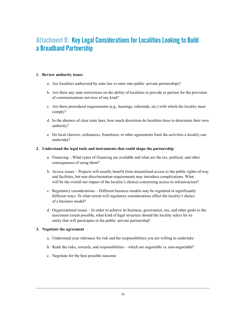# Attachment B: Key Legal Considerations for Localities Looking to Build a Broadband Partnership

#### **1. Review authority issues**

- a. Are localities authorized by state law to enter into public–private partnerships?
- b. Are there any state restrictions on the ability of localities to provide or partner for the provision of communications services of any kind?
- c. Are there procedural requirements (e.g., hearings, referenda, etc.) with which the locality must comply?
- d. In the absence of clear state laws, how much discretion do localities have to determine their own authority?
- e. Do local charters, ordinances, franchises, or other agreements limit the activities a locality can undertake?

#### **2. Understand the legal tools and instruments that could shape the partnership**

- a. Financing What types of financing are available and what are the tax, political, and other consequences of using them?
- b. Access issues Projects will usually benefit from streamlined access to the public rights-of-way and facilities, but non-discrimination requirements may introduce complications. What will be the overall net impact of the locality's choices concerning access to infrastructure?
- c. Regulatory considerations Different business models may be regulated in significantly different ways. To what extent will regulatory considerations affect the locality's choice of a business model?
- d. Organizational issues In order to achieve its business, governance, tax, and other goals to the maximum extent possible, what kind of legal structure should the locality select for its entity that will participate in the public–private partnership?

#### **3. Negotiate the agreement**

- a. Understand your tolerance for risk and the responsibilities you are willing to undertake
- b. Rank the risks, rewards, and responsibilities which are negotiable vs. non-negotiable?
- c. Negotiate for the best possible outcome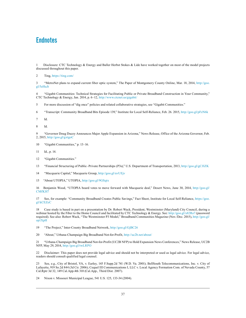# **Endnotes**

1 Disclosure: CTC Technology & Energy and Baller Herbst Stokes & Lide have worked together on most of the model projects discussed throughout this paper.

2 Ting,<https://ting.com/>

3 "MetroNet plans to expand current fiber optic system," The Paper of Montgomery County Online, Mar. 18, 2014, [http://goo.](http://goo.gl/5eHuJt) [gl/5eHuJt](http://goo.gl/5eHuJt)

4 "Gigabit Communities: Technical Strategies for Facilitating Public or Private Broadband Construction in Your Community," CTC Technology & Energy, Jan. 2014, p. 6–12,<http://www.ctcnet.us/gigabit/>

5 For more discussion of "dig once" policies and related collaborative strategies, see "Gigabit Communities."

6 "Transcript: Community Broadband Bits Episode 139," Institute for Local Self-Reliance, Feb. 26. 2015,<http://goo.gl/pFzN6k>

7 Id.

8 Id.

9 "Governor Doug Ducey Announces Major Apple Expansion in Arizona," News Release, Office of the Arizona Governor, Feb. 2, 2015, <http://goo.gl/gxtgoC>

- 10 "Gigabit Communities," p. 13–16.
- 11 Id., p. 14.
- 12 "Gigabit Communities."
- 13 "Financial Structuring of Public–Private Partnerships (P3s)," U.S. Department of Transportation, 2013,<http://goo.gl/gCJIZK>
- 14 "Macquarie Capital," Macquarie Group,<http://goo.gl/uvUEjv>
- 15 "About UTOPIA," UTOPIA,<http://goo.gl/9GSqtx>

16 Benjamin Wood, "UTOPIA board votes to move forward with Macquarie deal," Desert News, June 30, 2014, [http://goo.gl/](http://goo.gl/CMfKH7) [CMfKH7](http://goo.gl/CMfKH7)

17 See, for example: "Community Broadband Creates Public Savings," Fact Sheet, Institute for Local Self-Reliance, [https://goo.](https://goo.gl/kCEZeC) [gl/kCEZeC](https://goo.gl/kCEZeC)

18 Case study is based in part on a presentation by Dr. Robert Wack, President, Westminster (Maryland) City Council, during a webinar hosted by the Fiber to the Home Council and facilitated by CTC Technology & Energy. See: <http://goo.gl/x82Ro7> (password required). See also: Robert Wack, "The Westminster P3 Model," Broadband Communities Magazine (Nov./Dec. 2015), [http://goo.gl/](http://goo.gl/op1XpH) [op1XpH](http://goo.gl/op1XpH)

19 "The Project," Inter-County Broadband Network,<http://goo.gl/GjBC26>

20 "About," Urbana-Champaign Big Broadband Not-for-Profit,<http://uc2b.net/about/>

21 "Urbana-Champaign Big Broadband Not-for-Profit (UC2B NFP) to Hold Expansion News Conferences," News Release, UC2B NFP, May 29, 2014,<http://goo.gl/twLRPO>

22 Disclaimer: This paper does not provide legal advice and should not be interpreted or used as legal advice. For legal advice, readers should consult qualified legal counsel.

23 See, e.g., City of Bristol, VA, v. Earley, 145 F.Supp.2d 741 (W.D. Va. 2001); BellSouth Telecommunications, Inc. v. City of Lafayette, 919 So.2d 844 (3d Cir. 2006); Cequel III Communications I, LLC v. Local Agency Formation Com. of Nevada County, 57 Cal.Rptr 3d 32, 149 Cal.App.4th 310 (Cal.App., Third Dist. 2007).

24 Nixon v. Missouri Municipal League, 541 U.S. 125, 133-34 (2004).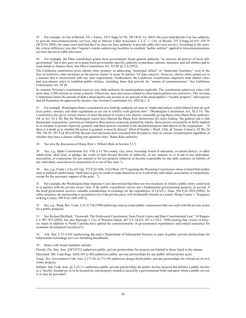25 For example, in City of Bristol, VA v. Earley, 145 F.Supp.2d 741, 745 (W.D. Va. 2001), the court held that the City has authority to provide telecommunications services, and in Marcus Cable Associates, L.L.C. v. City of Bristol, 237 F.Supp.2d 675, 678-79 (W.D.VA 2002), the same court held that the City does not have authority to provide cable television service. According to the court, the critical difference was that Virginia's statute authorizing localities to establish "public utilities" applied to telecommunications services but not to cable television.

26 For example, the Ohio constitution grants local governments broad general authority "to exercise all powers of local selfgovernment" but it also goes on to grant local governments specific authority to purchase, operate, maintain, and sell utilities and to issue bonds to finance them. See Ohio Constitution Art. XVIII §§ 3, 6 (1912).

The California constitution gives charter cities primacy in addressing "municipal affairs" or "municipal functions," even in the face of restrictive state measures on the precise matter in issue. In matters "of state concern," however, charter cities cannot act in a manner that is inconsistent with any state requirement. Furthermore, the California Constitution empowers both charter cities and non-charter cities to establish public utilities, including those that provide for "means of communication." See California Constitution Art. XI §9.

In contrast, Arizona's constitution reserves very little authority for municipalities explicitly. The constitution authorizes cities with more than 3,500 citizens to create a charter. Otherwise, most provisions related to cities/municipalities are restrictive. The Arizona Constitution limits the amount of debt a municipality can assume to six percent of the municipality's "taxable property" and requires that all franchises be approved by electors. See Arizona Constitution Art. XIII §§ 2, 4.

27 For example, Washington State's constitution sets forth the authority of cities to "make and enforce within [their] limits all such local police, sanitary and other regulations as are not in conflict with general laws." (Washington Constitution Art. XI § 11). The Constitution also gives certain classes of cities the power to create a city charter, ostensibly giving those cities Home Rule authority. (Id. at Art. XI § 10). But the Washington courts have blurred the Home Rule distinctions for cities finding "the general rule is that [municipal corporations' powers] are limited to those powers expressly granted by statute, those powers necessarily or fairly implied in or incident to powers expressly granted, and those powers essential to the declared purposes and objects of the corporation … If there is a doubt as to whether the power is granted, it must be denied." (Port of Seattle v. Wash. Utils. & Transp. Comm'n, 92 Wn.2d 789, 794-95, 597 P.2d 383 (1979)). Recent court decisions have extended this decision to cities in various circumstances regardless of whether they have a charter calling into question cities' Home Rule authority.

28 See also the discussion of Home Rule v. Dillon's Rule in Section 3.1.3.

29 See, e.g., Idaho Constitution Art. VIII § 4 ("No county, city, town, township, board of education, or school district, or other subdivision, shall lend, or pledge, the credit of faith thereof directly or indirectly, in any manner, to or in aid of any individual, association, or corporation, for any amount or for any purpose whatever or become responsible for any debt, contract, or liability of any individual, association or corporation in or out of this state.").

See, e.g., Frank v. City of Cody, 572 P.2d 1106, 1112 (Wyo. 1977) (quoting the Wyoming Constitution where it stated that neither state or political subdivisions "shall loan or give its credit or make donations to or in aid of any individual, association, or corporation, except for the necessary support of the poor…").

31 For example, the Washington State Supreme Court determined that there are two situations in which a public entity could lend to or partner with the private sector: first, if the public expenditure carries out a fundamental governmental purpose; or second, if the local government receives valuable consideration in exchange for the expenditure. (CLEAN v. State, 928 P.2d 1054 (1996)). In either situation, the partnership is permitted even if the private party will incidentally benefit as a result. (King County v. Taxpayers of King County, 949 P.2d 1260 (1997)).

32 See, e.g., Wash. Rev. Code. § 35.21.730 (1998) (allowing cities to create public corporations that can work with the private sector for a public purpose).

33 See Richard Briffault, "Foreword: The Disfavored Constitution: State Fiscal Limits and State Constitutional Law," 34 Rutgers L.J. 907, 913 (2003). See also Maready v. City of Winston-Salem, 467 S.E.2d 615, 627 n.1 (N.C. 1996) (noting that "courts in fortysix states in addition to North Carolina have upheld the constitutionality of governmental expenditures and related assistance for economic development incentives").

34 Ark. Stat. § 25-4-102 (authorizing the state's Department of Information Systems to enter in public–private partnerships for information technology services including broadband).

35 States with broad mandates include:

Florida: Fla. Stat. Ann. §287.05712 authorizes public–private partnerships for projects not limited to those listed in the statute; Maryland: Md. Code Regs. §10A-103 to 402 authorizes public–private partnerships for any public infrastructure asset;

Texas: Tex. Government Code Ann. § 271.181 to 271.199 authorizes design-build public–private partnerships for a broad set of civil works projects;

Indiana: Ind. Code Ann. §§ 5-23-1-1 authorizes public–private partnerships for public facility projects but defines a public facility as a "facility located on, or to be located on, real property owned or leased by a governmental body and upon which a public service is or may be provided";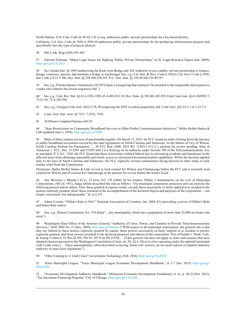North Dakota: N.D. Cent. Code §§ 48-02.1-01 et seq. authorizes public–private partnerships for a fee-based facility; California: Cal. Gov. Code §§ 5956 to 5956.10 authorizes public–private partnerships for fee-producing infrastructure projects and specifically lists the type of projects allowed.

36 Md. Code. Regs §10A-103-402.

37 Edward Fishman, "Major Legal Issues for Highway Public–Private Partnerships" at 26, Legal Research Digest (Jan. 2009), <http://goo.gl/UTL5CJ>

38 See Alaska Stat. §§ 1905 (authorizing the Knik Arm Bridge and Toll Authority to use a public–private partnership to finance, design, construct, operate, and maintain a bridge in Anchorage). See, e.g., Cal. Stat. & Hwy. Code § 143(A), Cal. Gov't Code § 5956; Ind. Code § 8-15.5; Mo. Rev. Stat. §§ 238:300-238:367; N.C. Gen. Stat. §§ 136-89.180-136.89.197.

39 See, e.g., Florida Statutes Annotated § 287.057(1)(a)1.a.4 (requiring that contracts "be awarded to the responsible and responsive vendor who submits the lowest responsive bid.").

40 See, e.g., Colo. Rev. Stat. §§ 43-1-1201-1209, 43-4-801-812; Or. Rev. State. §§ 383.001-383.019; Utah Code Ann. §§ 63-560502.5, 72-6-118, 72-6-201-206.

41 See, e.g., Georgia Code Ann. §§32-2-78, 80 (requiring the DOT to solicit proposals); Ind. Code Ann. §§5-23-1-1 to 5-23-7-2.

42 Conn. Gen. Stat. Ann. §§ 7213, 7-233ii, 7536.

43 20 Illinois Compiled Statutes 661/35.

44 "State Restrictions on Community Broadband Services or Other Public Communications Initiatives," Baller Herbst Stokes & Lide (updated June 1, 2014), <http://goo.gl/yzJTQW>

45 Many of these statutes are now of questionable legality. On March 12, 2015, the FCC issued an order striking down the barriers to public broadband investment erected by the state legislatures of North Carolina and Tennessee. In the Matter of City, of Wilson, North Carolina Petition for Preemption …, 30 FCC Rcd. 2408, 2015 WL 1120113 (F.C.C.), petition for review pending, State of Tennessee v. FCC, Nos. 15-3291 and 153555 (6th Cir.). Relying on its authority under Section 706 of the Telecommunications Act, as amended, 47 U.S.C. 1302, the FCC found that these restrictions violated federal law by preventing residents and businesses in the affected areas from obtaining reasonable and timely access to advanced telecommunication capabilities. While the decision applied only to the laws of North Carolina and Tennessee, the FCC expressly invited communities facing barriers in other states to seek similar relief from the Commission.

Disclosure: Baller Herbst Stokes & Lide served as lead counsel for Wilson and Chattanooga before the FCC and is currently lead counsel for Wilson and of counsel for Chattanooga in the petition for review before the Sixth Circuit.

46 See Merriam v. Moody's Ex'rs, 25 Iowa 163, 170 (1868). In his treatise, Dillon, Commentaries on the Law of Municipal Corporations, (5th ed. 1911), Judge Dillon described the rule as follows: "[A] municipal corporation possesses and can exercise the following powers and no others: First, those granted in express words; second, those necessarily or fairly implied in or incident to the powers expressly granted; third, those essential to the accomplishment of the declared objects and purposes of the corporation, -- not simply convenient, but indispensable." Id. at § 237.

47 Adam Coester, "Dillon's Rule or Not?," National Association of Counties, Jan. 2004 2(1) (providing a survey of Dillon's Rule and Home Rule states).

48 See, e.g., Illinois Constitution Art. VII §6(a)("…any municipality which has a population of more than 25,000 are home rule units").

49 Washington State Office of the Attorney General, "Authority of Cities, Towns, and Counties to Provide Telecommunications Services," AGO 2003 No. 11 (Dec. 2003), <http://goo.gl/Bwbzae> ("With respect to all municipal corporations, the general rule is that they are limited to those powers expressly granted by statute, those powers necessarily or fairly implied in or incident to powers expressly granted, and those powers essential to the declared purposes and objects of the corporation. Port of Seattle v. Wash. Utils. & Transp. Comm'n, 92 Wn.2d 789, 794-95, 597 P.2d 383 (1979) … [T]his general rule does not apply to cities and counties that have adopted charters pursuant to the Washington Constitution (Const. art. XI, §§ 4, 10) or to cities operating under the optional municipal code ('code cities') …These municipalities, often described as having 'home rule' powers, do not need express or implied statutory authority to enact local legislation.").

50 "Fiber Coming to 11 Utah Cities" Government Technology (Feb. 2014), <http://goo.gl/VcdX1b>

51 Texas Municipal League, "Texas Municipal League Economic Development Handbook," at 2-7 (Jan. 2015), [http://goo.gl/](http://goo.gl/WmA3Qv) [WmA3Qv](http://goo.gl/WmA3Qv)

52 "Economic Development Authority Handbook," Minnesota Economic Development Foundation, et. al., p. 20-22 (Oct. 2011); "Tax Increment Financing Program," City of Chicago, <http://goo.gl/UYx2nR>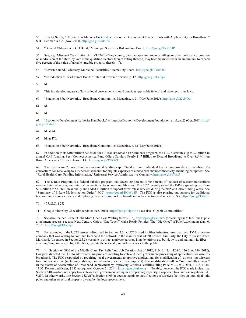53 Tony Q. Smith, "TIF and New Markets Tax Credits: Economic Development Finance Tools with Applicability for Broadband," S.B. Friedman & Co. (Nov. 2013),<http://goo.gl/f6MsFW>

54 "General Obligation or GO Bond," Municipal Securities Rulemaking Board,<http://goo.gl/UcK2HP>

55 See, e.g., Missouri Constitution Art. VI §26(b)("Any county, city, incorporated town or village or other political corporation or subdivision of the state, by vote of the qualified electors thereof voting thereon, may become indebted in an amount not to exceed five percent of the value of taxable tangible property therein…").

56 "Revenue Bond," Glossary, Municipal Securities Rulemaking Board,<http://goo.gl/TY6mdD>

57 "Introduction to Tax-Exempt Bonds," Internal Revenue Service, p. 12,<http://goo.gl/bkzDy6>

58 Id.

59 This is a developing area of law so local governments should consider applicable federal and state securities laws.

60 "Financing Fiber Networks," Broadband Communities Magazine, p. 51 (May/June 2015),<http://goo.gl/h2eNQu>

61 Id.

62 Id.

63 "Economic Development Authority Handbook," Minnesota Economic Development Foundation, et. al., p. 23 (Oct. 2011), [http://](http://goo.gl/b15baH) [goo.gl/b15baH](http://goo.gl/b15baH)

64 Id. at 24.

65 Id. at 170.

66 "Financing Fiber Networks," Broadband Communities Magazine, p. 52 (May/June 2015).

67 In addition to its \$100 million set-aside for a Rural Broadband Experiments program, the FCC distributes up to \$2 billion in annual CAF funding. See "Connect America Fund Offers Carriers Nearly \$1.7 Billion to Expand Broadband to Over 8.5 Million Rural Americans," Press Release, FCC, <https://goo.gl/9VR9ZD>

68 The Healthcare Connect Fund has an annual funding cap of \$400 million. Individual health care providers or members of a consortium can receive up to a 65 percent discount for eligible expenses related to broadband connectivity, including equipment. See "Rural Health Care: Funding Information," Universal Service Administrative Company, <http://goo.gl/eb7oxU>

69 The E-Rate Program is a federal subsidy program that covers 20 percent to 90 percent of the cost of telecommunications service, Internet access, and internal connections for schools and libraries. The FCC recently raised the E-Rate spending cap from \$2.4 billion to \$3.9 billion annually and added \$1 billion of support for wireless services during the 2015 and 2016 funding years. See "Summary of E-Rate Modernization Order," FCC, <https://goo.gl/HGWbSF>. The FCC is also phasing out support for traditional telecommunications services and replacing them with support for broadband infrastructure and services. See<https://goo.gl/137adP>

70 47 U.S.C. § 253.

71 Google Fiber City Checklist (updated Feb. 2014),<https://goo.gl/Hgxv47>; see also "Gigabit Communities."

72 See also Heather Burnett Gold, More Fiber, Less Waiting (Nov. 2015),<https://goo.gl/vkBm99>(describing the "One-Touch" pole attachment process; see also Next Century Cities, "One Touch" Make-Ready Policies: The "Dig Once" of Pole Attachments (Jan. 6, 2016),<http://goo.gl/EGe8q3>

73 For example, in the UC2B project (discussed in Section 2.3.1), UC2B used its fiber infrastructure to attract iTV-3, a private company that was willing to continue to expand the network in the manner that UC2B desired. Similarly, the City of Westminster, Maryland, (discussed in Section 2.3.3) was able to attract a private partner, Ting, by offering to build, own, and maintain its fiber enabling Ting, in turn, to light the fiber, operate the network, and offer services to the public.

74 In Section 6409(a) of the Middle Class Tax Relief and Job Creation Act of 2012, Pub. L. No. 112-96, 126 Stat. 156 (2012), Congress directed the FCC to address certain problems relating to state and local government processing of applications for wireless broadband. The FCC responded by requiring local governments to approve applications for modification of "an existing wireless tower or base station" (including addition, removal and replacement of equipment) if the modification will not "substantially change." In the Matter of Acceleration of Broadband Deployment by Improving Wireless Facilities Siting Policies …, WC Dkts, 13238, 11-15, 13-32, Report and Order, ¶ 182 et seq., (rel. October 21, 2014), <https://goo.gl/uhxeng> . Notably, however, the FCC made it clear that Section 6409(a) does not apply to a state or local government acting in a proprietary capacity, as opposed to a land use regulator. Id., ¶ 239. In other words, like Section 332(c)(7), Section 6409(a) does not apply to modifications of wireless facilities on municipal light poles and other structural property owned by the local government.